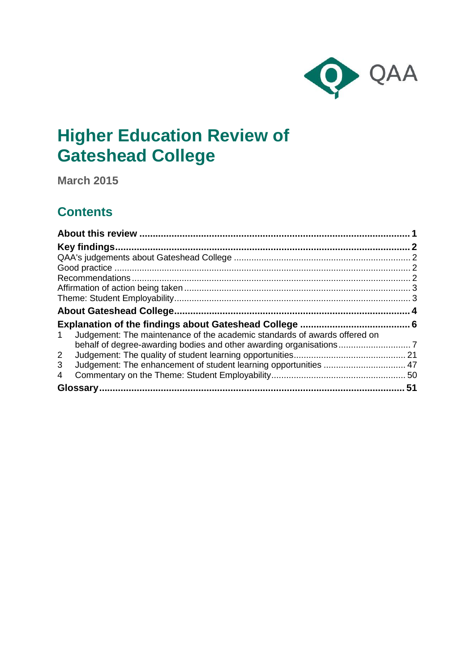

# **Higher Education Review of Gateshead College**

**March 2015**

## **Contents**

| Judgement: The maintenance of the academic standards of awards offered on<br>$\mathbf{1}$ |  |
|-------------------------------------------------------------------------------------------|--|
|                                                                                           |  |
| $\overline{2}$                                                                            |  |
| 3                                                                                         |  |
| 4                                                                                         |  |
|                                                                                           |  |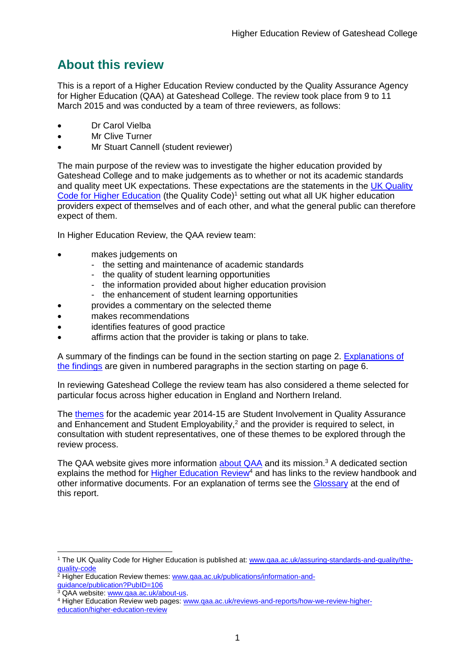## <span id="page-1-0"></span>**About this review**

This is a report of a Higher Education Review conducted by the Quality Assurance Agency for Higher Education (QAA) at Gateshead College. The review took place from 9 to 11 March 2015 and was conducted by a team of three reviewers, as follows:

- Dr Carol Vielba
- Mr Clive Turner
- Mr Stuart Cannell (student reviewer)

The main purpose of the review was to investigate the higher education provided by Gateshead College and to make judgements as to whether or not its academic standards and quality meet UK expectations. These expectations are the statements in the [UK Quality](http://www.qaa.ac.uk/assuring-standards-and-quality/the-quality-code)  [Code for Higher Education](http://www.qaa.ac.uk/assuring-standards-and-quality/the-quality-code) (the Quality Code)<sup>1</sup> setting out what all UK higher education [providers](http://newlive.qaa.ac.uk/AboutUs/glossary/Pages/glossary-h.aspx#h2.1) expect of themselves and of each other, and what the general public can therefore expect of them.

In Higher Education Review, the QAA review team:

- makes judgements on
	- the setting and maintenance of academic standards
	- the quality of student learning opportunities
	- the information provided about higher education provision
	- the enhancement of student learning opportunities
	- provides a commentary on the selected theme
- makes recommendations
- identifies features of good practice
- affirms action that the provider is taking or plans to take.

A summary of the findings can be found in the section starting on page 2. [Explanations of](#page-6-0)  [the findings](#page-6-0) are given in numbered paragraphs in the section starting on page 6.

In reviewing Gateshead College the review team has also considered a theme selected for particular focus across higher education in England and Northern Ireland.

The [themes](http://www.qaa.ac.uk/publications/information-and-guidance/publication?PubID=106) for the academic year 2014-15 are Student Involvement in Quality Assurance and Enhancement and Student Employability,<sup>2</sup> and the provider is required to select, in consultation with student representatives, one of these themes to be explored through the review process.

The QAA website gives more information [about QAA](http://www.qaa.ac.uk/aboutus/pages/default.aspx) and its mission.<sup>3</sup> A dedicated section explains the method for [Higher Education](http://www.qaa.ac.uk/reviews-and-reports/how-we-review-higher-education/higher-education-review) Review<sup>4</sup> and has links to the review handbook and other informative documents. For an explanation of terms see the [Glossary](#page-50-1) at the end of this report.

<sup>1</sup> The UK Quality Code for Higher Education is published at: [www.qaa.ac.uk/assuring-standards-and-quality/the](http://www.qaa.ac.uk/assuring-standards-and-quality/the-quality-code)[quality-code](http://www.qaa.ac.uk/assuring-standards-and-quality/the-quality-code)

<sup>&</sup>lt;sup>2</sup> Higher Education Review themes: **www.qaa.ac.uk/publications/information-and**[guidance/publication?PubID=106](http://www.qaa.ac.uk/publications/information-and-guidance/publication?PubID=106)

<sup>&</sup>lt;sup>3</sup> QAA website: [www.qaa.ac.uk/about-us.](http://www.qaa.ac.uk/about-us)

<sup>4</sup> Higher Education Review web pages: [www.qaa.ac.uk/reviews-and-reports/how-we-review-higher](http://www.qaa.ac.uk/reviews-and-reports/how-we-review-higher-education/higher-education-review)[education/higher-education-review](http://www.qaa.ac.uk/reviews-and-reports/how-we-review-higher-education/higher-education-review)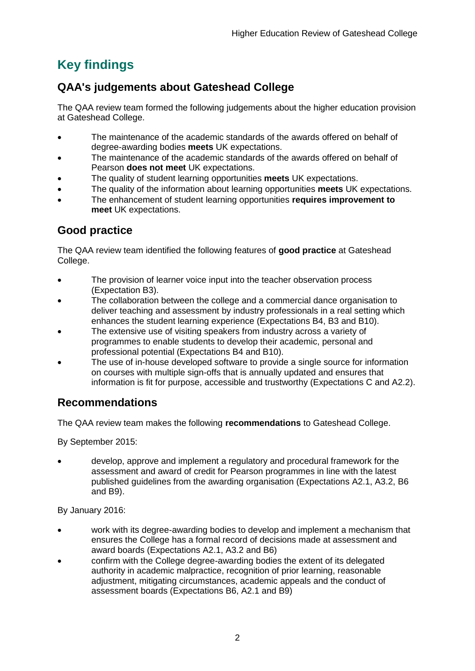## <span id="page-2-0"></span>**Key findings**

## <span id="page-2-1"></span>**QAA's judgements about Gateshead College**

The QAA review team formed the following judgements about the higher education provision at Gateshead College.

- The maintenance of the academic standards of the awards offered on behalf of degree-awarding bodies **meets** UK expectations.
- The maintenance of the academic standards of the awards offered on behalf of Pearson **does not meet** UK expectations.
- The quality of student learning opportunities **meets** UK expectations.
- The quality of the information about learning opportunities **meets** UK expectations.
- The enhancement of student learning opportunities **requires improvement to meet** UK expectations.

## <span id="page-2-2"></span>**Good practice**

The QAA review team identified the following features of **good practice** at Gateshead College.

- The provision of learner voice input into the teacher observation process (Expectation B3).
- The collaboration between the college and a commercial dance organisation to deliver teaching and assessment by industry professionals in a real setting which enhances the student learning experience (Expectations B4, B3 and B10).
- The extensive use of visiting speakers from industry across a variety of programmes to enable students to develop their academic, personal and professional potential (Expectations B4 and B10).
- The use of in-house developed software to provide a single source for information on courses with multiple sign-offs that is annually updated and ensures that information is fit for purpose, accessible and trustworthy (Expectations C and A2.2).

## <span id="page-2-3"></span>**Recommendations**

The QAA review team makes the following **recommendations** to Gateshead College.

By September 2015:

 develop, approve and implement a regulatory and procedural framework for the assessment and award of credit for Pearson programmes in line with the latest published guidelines from the awarding organisation (Expectations A2.1, A3.2, B6 and B9).

By January 2016:

- work with its degree-awarding bodies to develop and implement a mechanism that ensures the College has a formal record of decisions made at assessment and award boards (Expectations A2.1, A3.2 and B6)
- confirm with the College degree-awarding bodies the extent of its delegated authority in academic malpractice, recognition of prior learning, reasonable adjustment, mitigating circumstances, academic appeals and the conduct of assessment boards (Expectations B6, A2.1 and B9)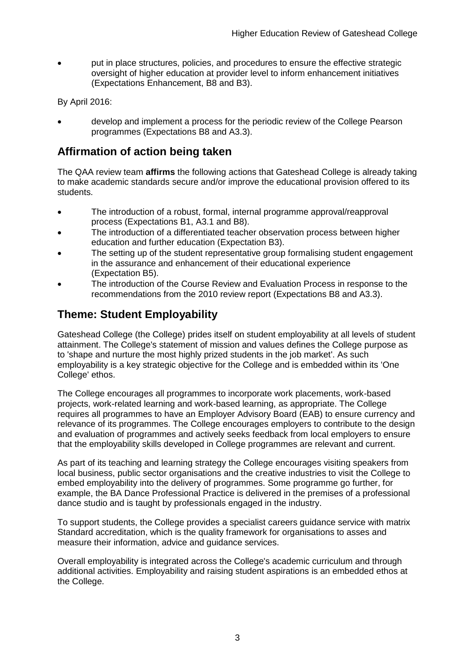put in place structures, policies, and procedures to ensure the effective strategic oversight of higher education at provider level to inform enhancement initiatives (Expectations Enhancement, B8 and B3).

By April 2016:

 develop and implement a process for the periodic review of the College Pearson programmes (Expectations B8 and A3.3).

## <span id="page-3-0"></span>**Affirmation of action being taken**

The QAA review team **affirms** the following actions that Gateshead College is already taking to make academic standards secure and/or improve the educational provision offered to its students.

- The introduction of a robust, formal, internal programme approval/reapproval process (Expectations B1, A3.1 and B8).
- The introduction of a differentiated teacher observation process between higher education and further education (Expectation B3).
- The setting up of the student representative group formalising student engagement in the assurance and enhancement of their educational experience (Expectation B5).
- The introduction of the Course Review and Evaluation Process in response to the recommendations from the 2010 review report (Expectations B8 and A3.3).

## <span id="page-3-1"></span>**Theme: Student Employability**

Gateshead College (the College) prides itself on student employability at all levels of student attainment. The College's statement of mission and values defines the College purpose as to 'shape and nurture the most highly prized students in the job market'. As such employability is a key strategic objective for the College and is embedded within its 'One College' ethos.

The College encourages all programmes to incorporate work placements, work-based projects, work-related learning and work-based learning, as appropriate. The College requires all programmes to have an Employer Advisory Board (EAB) to ensure currency and relevance of its programmes. The College encourages employers to contribute to the design and evaluation of programmes and actively seeks feedback from local employers to ensure that the employability skills developed in College programmes are relevant and current.

As part of its teaching and learning strategy the College encourages visiting speakers from local business, public sector organisations and the creative industries to visit the College to embed employability into the delivery of programmes. Some programme go further, for example, the BA Dance Professional Practice is delivered in the premises of a professional dance studio and is taught by professionals engaged in the industry.

To support students, the College provides a specialist careers guidance service with matrix Standard accreditation, which is the quality framework for organisations to asses and measure their information, advice and guidance services.

Overall employability is integrated across the College's academic curriculum and through additional activities. Employability and raising student aspirations is an embedded ethos at the College.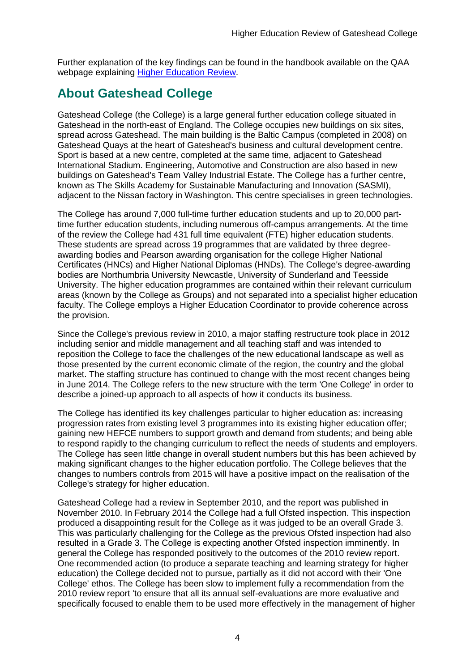Further explanation of the key findings can be found in the handbook available on the QAA webpage explaining [Higher Education Review.](http://www.qaa.ac.uk/reviews-and-reports/how-we-review-higher-education/higher-education-review)

## <span id="page-4-0"></span>**About Gateshead College**

Gateshead College (the College) is a large general further education college situated in Gateshead in the north-east of England. The College occupies new buildings on six sites, spread across Gateshead. The main building is the Baltic Campus (completed in 2008) on Gateshead Quays at the heart of Gateshead's business and cultural development centre. Sport is based at a new centre, completed at the same time, adjacent to Gateshead International Stadium. Engineering, Automotive and Construction are also based in new buildings on Gateshead's Team Valley Industrial Estate. The College has a further centre, known as The Skills Academy for Sustainable Manufacturing and Innovation (SASMI), adjacent to the Nissan factory in Washington. This centre specialises in green technologies.

The College has around 7,000 full-time further education students and up to 20,000 parttime further education students, including numerous off-campus arrangements. At the time of the review the College had 431 full time equivalent (FTE) higher education students. These students are spread across 19 programmes that are validated by three degreeawarding bodies and Pearson awarding organisation for the college Higher National Certificates (HNCs) and Higher National Diplomas (HNDs). The College's degree-awarding bodies are Northumbria University Newcastle, University of Sunderland and Teesside University. The higher education programmes are contained within their relevant curriculum areas (known by the College as Groups) and not separated into a specialist higher education faculty. The College employs a Higher Education Coordinator to provide coherence across the provision.

Since the College's previous review in 2010, a major staffing restructure took place in 2012 including senior and middle management and all teaching staff and was intended to reposition the College to face the challenges of the new educational landscape as well as those presented by the current economic climate of the region, the country and the global market. The staffing structure has continued to change with the most recent changes being in June 2014. The College refers to the new structure with the term 'One College' in order to describe a joined-up approach to all aspects of how it conducts its business.

The College has identified its key challenges particular to higher education as: increasing progression rates from existing level 3 programmes into its existing higher education offer; gaining new HEFCE numbers to support growth and demand from students; and being able to respond rapidly to the changing curriculum to reflect the needs of students and employers. The College has seen little change in overall student numbers but this has been achieved by making significant changes to the higher education portfolio. The College believes that the changes to numbers controls from 2015 will have a positive impact on the realisation of the College's strategy for higher education.

Gateshead College had a review in September 2010, and the report was published in November 2010. In February 2014 the College had a full Ofsted inspection. This inspection produced a disappointing result for the College as it was judged to be an overall Grade 3. This was particularly challenging for the College as the previous Ofsted inspection had also resulted in a Grade 3. The College is expecting another Ofsted inspection imminently. In general the College has responded positively to the outcomes of the 2010 review report. One recommended action (to produce a separate teaching and learning strategy for higher education) the College decided not to pursue, partially as it did not accord with their 'One College' ethos. The College has been slow to implement fully a recommendation from the 2010 review report 'to ensure that all its annual self-evaluations are more evaluative and specifically focused to enable them to be used more effectively in the management of higher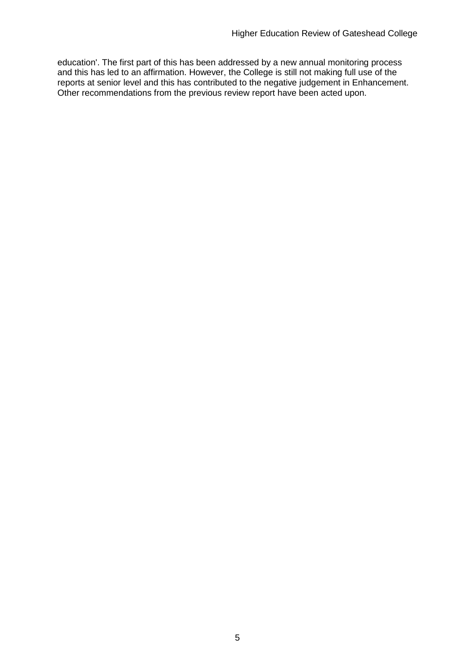education'. The first part of this has been addressed by a new annual monitoring process and this has led to an affirmation. However, the College is still not making full use of the reports at senior level and this has contributed to the negative judgement in Enhancement. Other recommendations from the previous review report have been acted upon.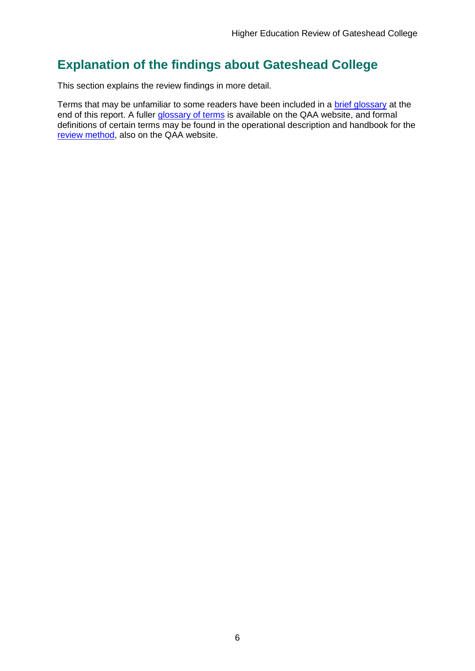## <span id="page-6-0"></span>**Explanation of the findings about Gateshead College**

This section explains the review findings in more detail.

Terms that may be unfamiliar to some readers have been included in a [brief glossary](#page-50-1) at the end of this report. A fuller [glossary of terms](http://www.qaa.ac.uk/Pages/GlossaryEN.aspx) is available on the QAA website, and formal definitions of certain terms may be found in the operational description and handbook for the [review method,](http://www.qaa.ac.uk/reviews-and-reports/how-we-review-higher-education/higher-education-review) also on the QAA website.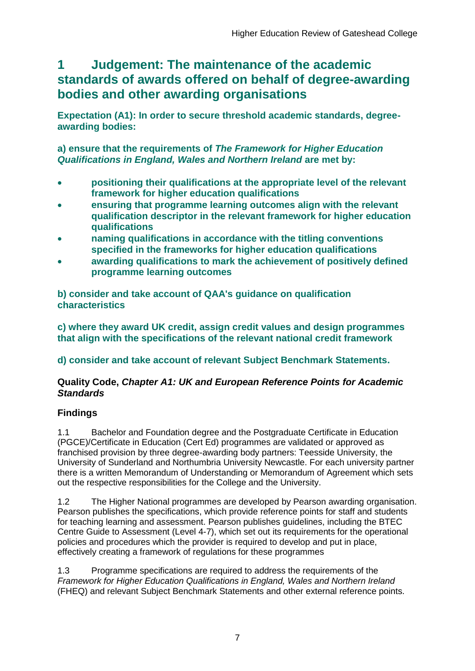## <span id="page-7-0"></span>**1 Judgement: The maintenance of the academic standards of awards offered on behalf of degree-awarding bodies and other awarding organisations**

**Expectation (A1): In order to secure threshold academic standards, degreeawarding bodies:** 

**a) ensure that the requirements of** *The Framework for Higher Education Qualifications in England, Wales and Northern Ireland* **are met by:**

- **positioning their qualifications at the appropriate level of the relevant framework for higher education qualifications**
- **ensuring that programme learning outcomes align with the relevant qualification descriptor in the relevant framework for higher education qualifications**
- **naming qualifications in accordance with the titling conventions specified in the frameworks for higher education qualifications**
- **awarding qualifications to mark the achievement of positively defined programme learning outcomes**

**b) consider and take account of QAA's guidance on qualification characteristics** 

**c) where they award UK credit, assign credit values and design programmes that align with the specifications of the relevant national credit framework** 

**d) consider and take account of relevant Subject Benchmark Statements.**

### **Quality Code,** *Chapter A1: UK and European Reference Points for Academic Standards*

## **Findings**

1.1 Bachelor and Foundation degree and the Postgraduate Certificate in Education (PGCE)/Certificate in Education (Cert Ed) programmes are validated or approved as franchised provision by three degree-awarding body partners: Teesside University, the University of Sunderland and Northumbria University Newcastle. For each university partner there is a written Memorandum of Understanding or Memorandum of Agreement which sets out the respective responsibilities for the College and the University.

1.2 The Higher National programmes are developed by Pearson awarding organisation. Pearson publishes the specifications, which provide reference points for staff and students for teaching learning and assessment. Pearson publishes guidelines, including the BTEC Centre Guide to Assessment (Level 4-7), which set out its requirements for the operational policies and procedures which the provider is required to develop and put in place, effectively creating a framework of regulations for these programmes

1.3 Programme specifications are required to address the requirements of the *Framework for Higher Education Qualifications in England, Wales and Northern Ireland* (FHEQ) and relevant Subject Benchmark Statements and other external reference points.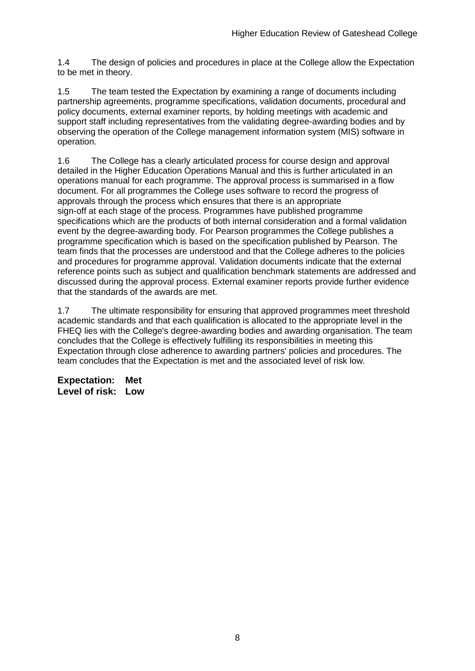1.4 The design of policies and procedures in place at the College allow the Expectation to be met in theory.

1.5 The team tested the Expectation by examining a range of documents including partnership agreements, programme specifications, validation documents, procedural and policy documents, external examiner reports, by holding meetings with academic and support staff including representatives from the validating degree-awarding bodies and by observing the operation of the College management information system (MIS) software in operation.

1.6 The College has a clearly articulated process for course design and approval detailed in the Higher Education Operations Manual and this is further articulated in an operations manual for each programme. The approval process is summarised in a flow document. For all programmes the College uses software to record the progress of approvals through the process which ensures that there is an appropriate sign-off at each stage of the process. Programmes have published programme specifications which are the products of both internal consideration and a formal validation event by the degree-awarding body. For Pearson programmes the College publishes a programme specification which is based on the specification published by Pearson. The team finds that the processes are understood and that the College adheres to the policies and procedures for programme approval. Validation documents indicate that the external reference points such as subject and qualification benchmark statements are addressed and discussed during the approval process. External examiner reports provide further evidence that the standards of the awards are met.

1.7 The ultimate responsibility for ensuring that approved programmes meet threshold academic standards and that each qualification is allocated to the appropriate level in the FHEQ lies with the College's degree-awarding bodies and awarding organisation. The team concludes that the College is effectively fulfilling its responsibilities in meeting this Expectation through close adherence to awarding partners' policies and procedures. The team concludes that the Expectation is met and the associated level of risk low.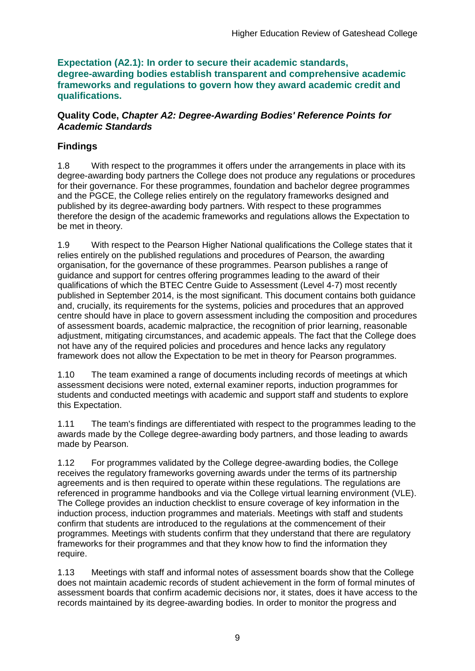**Expectation (A2.1): In order to secure their academic standards, degree-awarding bodies establish transparent and comprehensive academic frameworks and regulations to govern how they award academic credit and qualifications.**

#### **Quality Code,** *Chapter A2: Degree-Awarding Bodies' Reference Points for Academic Standards*

## **Findings**

1.8 With respect to the programmes it offers under the arrangements in place with its degree-awarding body partners the College does not produce any regulations or procedures for their governance. For these programmes, foundation and bachelor degree programmes and the PGCE, the College relies entirely on the regulatory frameworks designed and published by its degree-awarding body partners. With respect to these programmes therefore the design of the academic frameworks and regulations allows the Expectation to be met in theory.

1.9 With respect to the Pearson Higher National qualifications the College states that it relies entirely on the published regulations and procedures of Pearson, the awarding organisation, for the governance of these programmes. Pearson publishes a range of guidance and support for centres offering programmes leading to the award of their qualifications of which the BTEC Centre Guide to Assessment (Level 4-7) most recently published in September 2014, is the most significant. This document contains both guidance and, crucially, its requirements for the systems, policies and procedures that an approved centre should have in place to govern assessment including the composition and procedures of assessment boards, academic malpractice, the recognition of prior learning, reasonable adjustment, mitigating circumstances, and academic appeals. The fact that the College does not have any of the required policies and procedures and hence lacks any regulatory framework does not allow the Expectation to be met in theory for Pearson programmes.

1.10 The team examined a range of documents including records of meetings at which assessment decisions were noted, external examiner reports, induction programmes for students and conducted meetings with academic and support staff and students to explore this Expectation.

1.11 The team's findings are differentiated with respect to the programmes leading to the awards made by the College degree-awarding body partners, and those leading to awards made by Pearson.

1.12 For programmes validated by the College degree-awarding bodies, the College receives the regulatory frameworks governing awards under the terms of its partnership agreements and is then required to operate within these regulations. The regulations are referenced in programme handbooks and via the College virtual learning environment (VLE). The College provides an induction checklist to ensure coverage of key information in the induction process, induction programmes and materials. Meetings with staff and students confirm that students are introduced to the regulations at the commencement of their programmes. Meetings with students confirm that they understand that there are regulatory frameworks for their programmes and that they know how to find the information they require.

1.13 Meetings with staff and informal notes of assessment boards show that the College does not maintain academic records of student achievement in the form of formal minutes of assessment boards that confirm academic decisions nor, it states, does it have access to the records maintained by its degree-awarding bodies. In order to monitor the progress and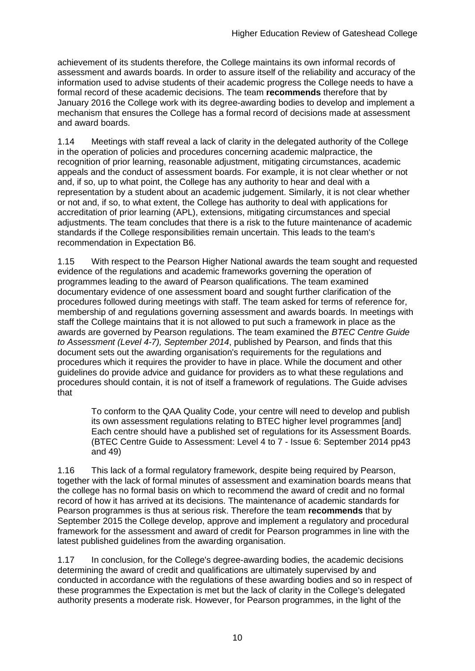achievement of its students therefore, the College maintains its own informal records of assessment and awards boards. In order to assure itself of the reliability and accuracy of the information used to advise students of their academic progress the College needs to have a formal record of these academic decisions. The team **recommends** therefore that by January 2016 the College work with its degree-awarding bodies to develop and implement a mechanism that ensures the College has a formal record of decisions made at assessment and award boards.

1.14 Meetings with staff reveal a lack of clarity in the delegated authority of the College in the operation of policies and procedures concerning academic malpractice, the recognition of prior learning, reasonable adjustment, mitigating circumstances, academic appeals and the conduct of assessment boards. For example, it is not clear whether or not and, if so, up to what point, the College has any authority to hear and deal with a representation by a student about an academic judgement. Similarly, it is not clear whether or not and, if so, to what extent, the College has authority to deal with applications for accreditation of prior learning (APL), extensions, mitigating circumstances and special adjustments. The team concludes that there is a risk to the future maintenance of academic standards if the College responsibilities remain uncertain. This leads to the team's recommendation in Expectation B6.

1.15 With respect to the Pearson Higher National awards the team sought and requested evidence of the regulations and academic frameworks governing the operation of programmes leading to the award of Pearson qualifications. The team examined documentary evidence of one assessment board and sought further clarification of the procedures followed during meetings with staff. The team asked for terms of reference for, membership of and regulations governing assessment and awards boards. In meetings with staff the College maintains that it is not allowed to put such a framework in place as the awards are governed by Pearson regulations. The team examined the *BTEC Centre Guide to Assessment (Level 4-7), September 2014*, published by Pearson, and finds that this document sets out the awarding organisation's requirements for the regulations and procedures which it requires the provider to have in place. While the document and other guidelines do provide advice and guidance for providers as to what these regulations and procedures should contain, it is not of itself a framework of regulations. The Guide advises that

To conform to the QAA Quality Code, your centre will need to develop and publish its own assessment regulations relating to BTEC higher level programmes [and] Each centre should have a published set of regulations for its Assessment Boards. (BTEC Centre Guide to Assessment: Level 4 to 7 - Issue 6: September 2014 pp43 and 49)

1.16 This lack of a formal regulatory framework, despite being required by Pearson, together with the lack of formal minutes of assessment and examination boards means that the college has no formal basis on which to recommend the award of credit and no formal record of how it has arrived at its decisions. The maintenance of academic standards for Pearson programmes is thus at serious risk. Therefore the team **recommends** that by September 2015 the College develop, approve and implement a regulatory and procedural framework for the assessment and award of credit for Pearson programmes in line with the latest published guidelines from the awarding organisation.

1.17 In conclusion, for the College's degree-awarding bodies, the academic decisions determining the award of credit and qualifications are ultimately supervised by and conducted in accordance with the regulations of these awarding bodies and so in respect of these programmes the Expectation is met but the lack of clarity in the College's delegated authority presents a moderate risk. However, for Pearson programmes, in the light of the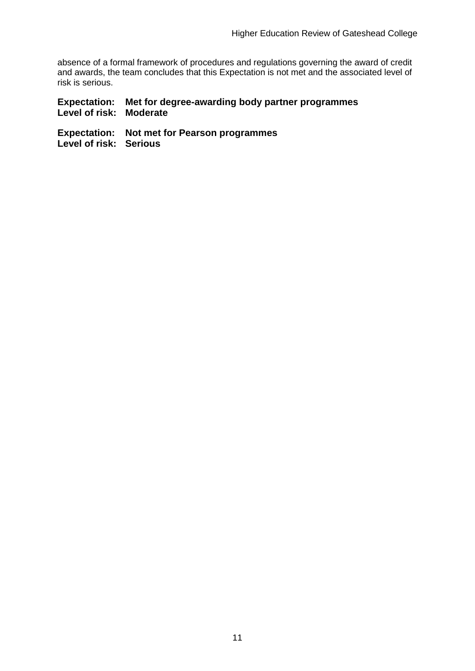absence of a formal framework of procedures and regulations governing the award of credit and awards, the team concludes that this Expectation is not met and the associated level of risk is serious.

#### **Expectation: Met for degree-awarding body partner programmes Level of risk: Moderate**

**Expectation: Not met for Pearson programmes Level of risk: Serious**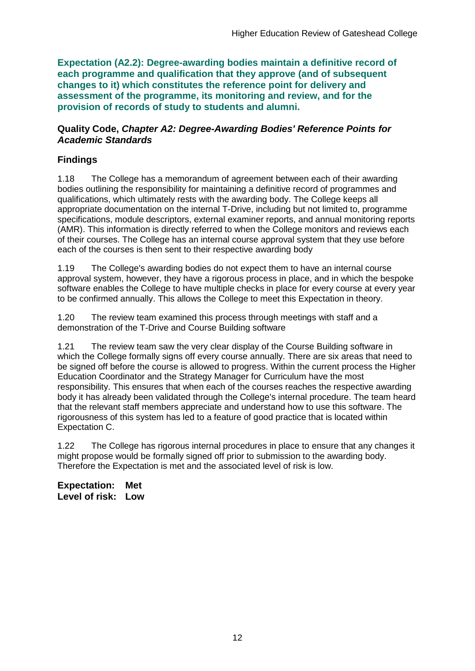**Expectation (A2.2): Degree-awarding bodies maintain a definitive record of each programme and qualification that they approve (and of subsequent changes to it) which constitutes the reference point for delivery and assessment of the programme, its monitoring and review, and for the provision of records of study to students and alumni.** 

#### **Quality Code,** *Chapter A2: Degree-Awarding Bodies' Reference Points for Academic Standards*

## **Findings**

1.18 The College has a memorandum of agreement between each of their awarding bodies outlining the responsibility for maintaining a definitive record of programmes and qualifications, which ultimately rests with the awarding body. The College keeps all appropriate documentation on the internal T-Drive, including but not limited to, programme specifications, module descriptors, external examiner reports, and annual monitoring reports (AMR). This information is directly referred to when the College monitors and reviews each of their courses. The College has an internal course approval system that they use before each of the courses is then sent to their respective awarding body

1.19 The College's awarding bodies do not expect them to have an internal course approval system, however, they have a rigorous process in place, and in which the bespoke software enables the College to have multiple checks in place for every course at every year to be confirmed annually. This allows the College to meet this Expectation in theory.

1.20 The review team examined this process through meetings with staff and a demonstration of the T-Drive and Course Building software

1.21 The review team saw the very clear display of the Course Building software in which the College formally signs off every course annually. There are six areas that need to be signed off before the course is allowed to progress. Within the current process the Higher Education Coordinator and the Strategy Manager for Curriculum have the most responsibility. This ensures that when each of the courses reaches the respective awarding body it has already been validated through the College's internal procedure. The team heard that the relevant staff members appreciate and understand how to use this software. The rigorousness of this system has led to a feature of good practice that is located within Expectation C.

1.22 The College has rigorous internal procedures in place to ensure that any changes it might propose would be formally signed off prior to submission to the awarding body. Therefore the Expectation is met and the associated level of risk is low.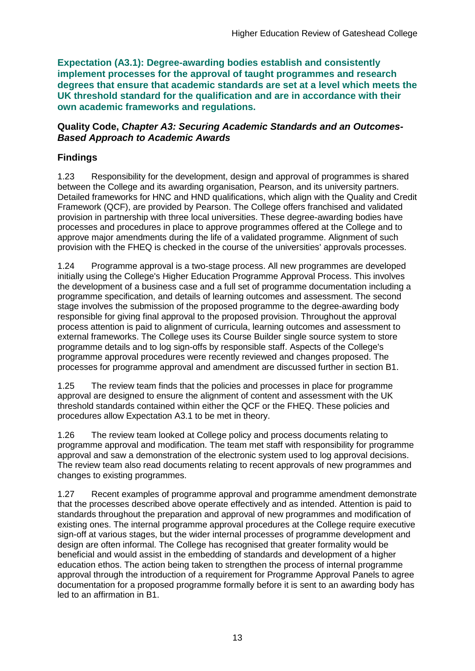**Expectation (A3.1): Degree-awarding bodies establish and consistently implement processes for the approval of taught programmes and research degrees that ensure that academic standards are set at a level which meets the UK threshold standard for the qualification and are in accordance with their own academic frameworks and regulations.**

#### **Quality Code,** *Chapter A3: Securing Academic Standards and an Outcomes-Based Approach to Academic Awards*

## **Findings**

1.23 Responsibility for the development, design and approval of programmes is shared between the College and its awarding organisation, Pearson, and its university partners. Detailed frameworks for HNC and HND qualifications, which align with the Quality and Credit Framework (QCF), are provided by Pearson. The College offers franchised and validated provision in partnership with three local universities. These degree-awarding bodies have processes and procedures in place to approve programmes offered at the College and to approve major amendments during the life of a validated programme. Alignment of such provision with the FHEQ is checked in the course of the universities' approvals processes.

1.24 Programme approval is a two-stage process. All new programmes are developed initially using the College's Higher Education Programme Approval Process. This involves the development of a business case and a full set of programme documentation including a programme specification, and details of learning outcomes and assessment. The second stage involves the submission of the proposed programme to the degree-awarding body responsible for giving final approval to the proposed provision. Throughout the approval process attention is paid to alignment of curricula, learning outcomes and assessment to external frameworks. The College uses its Course Builder single source system to store programme details and to log sign-offs by responsible staff. Aspects of the College's programme approval procedures were recently reviewed and changes proposed. The processes for programme approval and amendment are discussed further in section B1.

1.25 The review team finds that the policies and processes in place for programme approval are designed to ensure the alignment of content and assessment with the UK threshold standards contained within either the QCF or the FHEQ. These policies and procedures allow Expectation A3.1 to be met in theory.

1.26 The review team looked at College policy and process documents relating to programme approval and modification. The team met staff with responsibility for programme approval and saw a demonstration of the electronic system used to log approval decisions. The review team also read documents relating to recent approvals of new programmes and changes to existing programmes.

1.27 Recent examples of programme approval and programme amendment demonstrate that the processes described above operate effectively and as intended. Attention is paid to standards throughout the preparation and approval of new programmes and modification of existing ones. The internal programme approval procedures at the College require executive sign-off at various stages, but the wider internal processes of programme development and design are often informal. The College has recognised that greater formality would be beneficial and would assist in the embedding of standards and development of a higher education ethos. The action being taken to strengthen the process of internal programme approval through the introduction of a requirement for Programme Approval Panels to agree documentation for a proposed programme formally before it is sent to an awarding body has led to an affirmation in B1.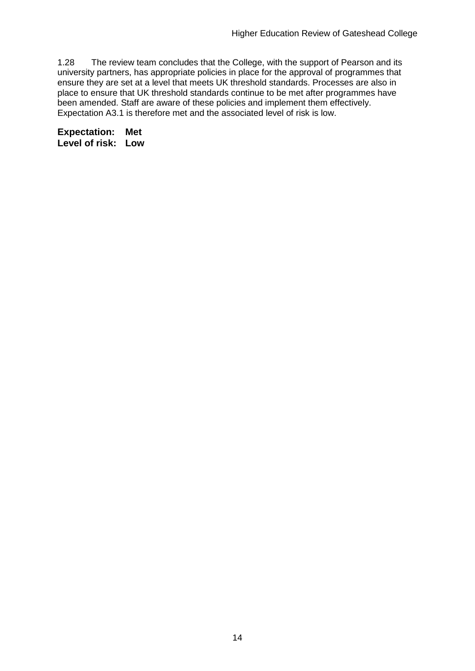1.28 The review team concludes that the College, with the support of Pearson and its university partners, has appropriate policies in place for the approval of programmes that ensure they are set at a level that meets UK threshold standards. Processes are also in place to ensure that UK threshold standards continue to be met after programmes have been amended. Staff are aware of these policies and implement them effectively. Expectation A3.1 is therefore met and the associated level of risk is low.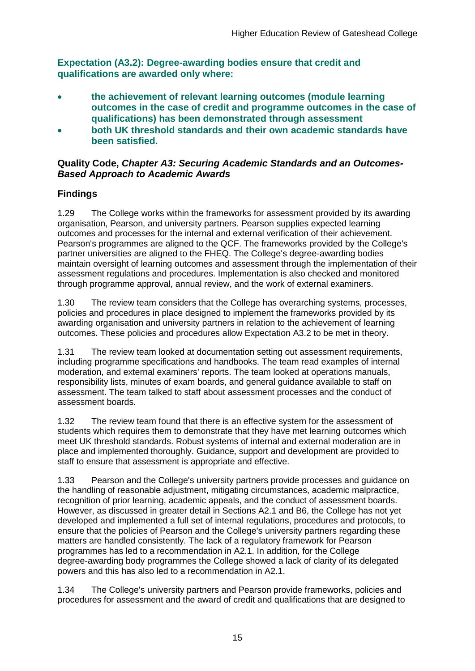**Expectation (A3.2): Degree-awarding bodies ensure that credit and qualifications are awarded only where:** 

- **the achievement of relevant learning outcomes (module learning outcomes in the case of credit and programme outcomes in the case of qualifications) has been demonstrated through assessment**
- **both UK threshold standards and their own academic standards have been satisfied.**

#### **Quality Code,** *Chapter A3: Securing Academic Standards and an Outcomes-Based Approach to Academic Awards*

## **Findings**

1.29 The College works within the frameworks for assessment provided by its awarding organisation, Pearson, and university partners. Pearson supplies expected learning outcomes and processes for the internal and external verification of their achievement. Pearson's programmes are aligned to the QCF. The frameworks provided by the College's partner universities are aligned to the FHEQ. The College's degree-awarding bodies maintain oversight of learning outcomes and assessment through the implementation of their assessment regulations and procedures. Implementation is also checked and monitored through programme approval, annual review, and the work of external examiners.

1.30 The review team considers that the College has overarching systems, processes, policies and procedures in place designed to implement the frameworks provided by its awarding organisation and university partners in relation to the achievement of learning outcomes. These policies and procedures allow Expectation A3.2 to be met in theory.

1.31 The review team looked at documentation setting out assessment requirements, including programme specifications and handbooks. The team read examples of internal moderation, and external examiners' reports. The team looked at operations manuals, responsibility lists, minutes of exam boards, and general guidance available to staff on assessment. The team talked to staff about assessment processes and the conduct of assessment boards.

1.32 The review team found that there is an effective system for the assessment of students which requires them to demonstrate that they have met learning outcomes which meet UK threshold standards. Robust systems of internal and external moderation are in place and implemented thoroughly. Guidance, support and development are provided to staff to ensure that assessment is appropriate and effective.

1.33 Pearson and the College's university partners provide processes and guidance on the handling of reasonable adjustment, mitigating circumstances, academic malpractice, recognition of prior learning, academic appeals, and the conduct of assessment boards. However, as discussed in greater detail in Sections A2.1 and B6, the College has not yet developed and implemented a full set of internal regulations, procedures and protocols, to ensure that the policies of Pearson and the College's university partners regarding these matters are handled consistently. The lack of a regulatory framework for Pearson programmes has led to a recommendation in A2.1. In addition, for the College degree-awarding body programmes the College showed a lack of clarity of its delegated powers and this has also led to a recommendation in A2.1.

1.34 The College's university partners and Pearson provide frameworks, policies and procedures for assessment and the award of credit and qualifications that are designed to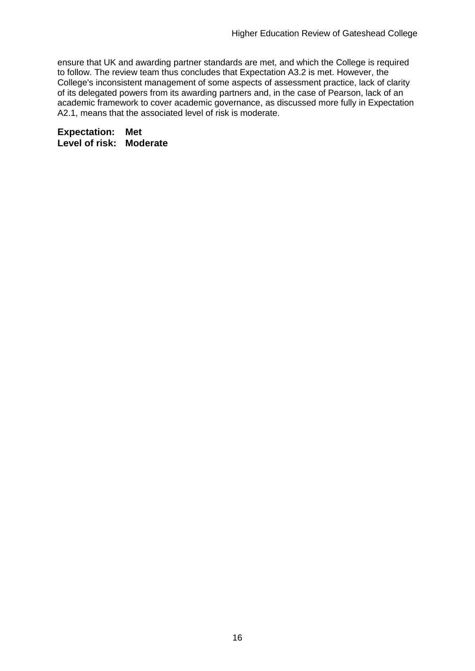ensure that UK and awarding partner standards are met, and which the College is required to follow. The review team thus concludes that Expectation A3.2 is met. However, the College's inconsistent management of some aspects of assessment practice, lack of clarity of its delegated powers from its awarding partners and, in the case of Pearson, lack of an academic framework to cover academic governance, as discussed more fully in Expectation A2.1, means that the associated level of risk is moderate.

**Expectation: Met Level of risk: Moderate**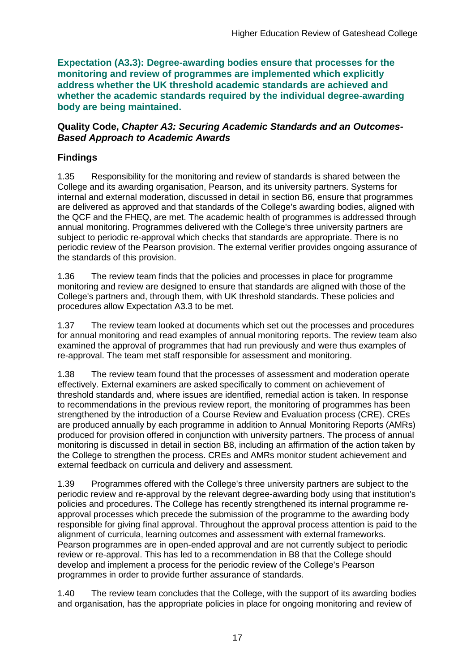**Expectation (A3.3): Degree-awarding bodies ensure that processes for the monitoring and review of programmes are implemented which explicitly address whether the UK threshold academic standards are achieved and whether the academic standards required by the individual degree-awarding body are being maintained.**

#### **Quality Code,** *Chapter A3: Securing Academic Standards and an Outcomes-Based Approach to Academic Awards*

## **Findings**

1.35 Responsibility for the monitoring and review of standards is shared between the College and its awarding organisation, Pearson, and its university partners. Systems for internal and external moderation, discussed in detail in section B6, ensure that programmes are delivered as approved and that standards of the College's awarding bodies, aligned with the QCF and the FHEQ, are met. The academic health of programmes is addressed through annual monitoring. Programmes delivered with the College's three university partners are subject to periodic re-approval which checks that standards are appropriate. There is no periodic review of the Pearson provision. The external verifier provides ongoing assurance of the standards of this provision.

1.36 The review team finds that the policies and processes in place for programme monitoring and review are designed to ensure that standards are aligned with those of the College's partners and, through them, with UK threshold standards. These policies and procedures allow Expectation A3.3 to be met.

1.37 The review team looked at documents which set out the processes and procedures for annual monitoring and read examples of annual monitoring reports. The review team also examined the approval of programmes that had run previously and were thus examples of re-approval. The team met staff responsible for assessment and monitoring.

1.38 The review team found that the processes of assessment and moderation operate effectively. External examiners are asked specifically to comment on achievement of threshold standards and, where issues are identified, remedial action is taken. In response to recommendations in the previous review report, the monitoring of programmes has been strengthened by the introduction of a Course Review and Evaluation process (CRE). CREs are produced annually by each programme in addition to Annual Monitoring Reports (AMRs) produced for provision offered in conjunction with university partners. The process of annual monitoring is discussed in detail in section B8, including an affirmation of the action taken by the College to strengthen the process. CREs and AMRs monitor student achievement and external feedback on curricula and delivery and assessment.

1.39 Programmes offered with the College's three university partners are subject to the periodic review and re-approval by the relevant degree-awarding body using that institution's policies and procedures. The College has recently strengthened its internal programme reapproval processes which precede the submission of the programme to the awarding body responsible for giving final approval. Throughout the approval process attention is paid to the alignment of curricula, learning outcomes and assessment with external frameworks. Pearson programmes are in open-ended approval and are not currently subject to periodic review or re-approval. This has led to a recommendation in B8 that the College should develop and implement a process for the periodic review of the College's Pearson programmes in order to provide further assurance of standards.

1.40 The review team concludes that the College, with the support of its awarding bodies and organisation, has the appropriate policies in place for ongoing monitoring and review of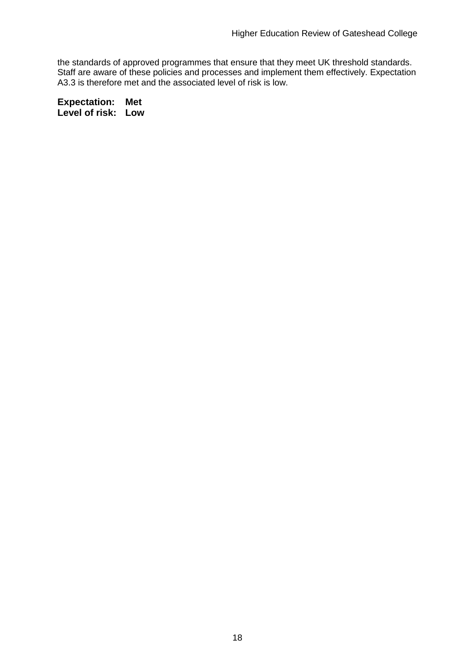the standards of approved programmes that ensure that they meet UK threshold standards. Staff are aware of these policies and processes and implement them effectively. Expectation A3.3 is therefore met and the associated level of risk is low.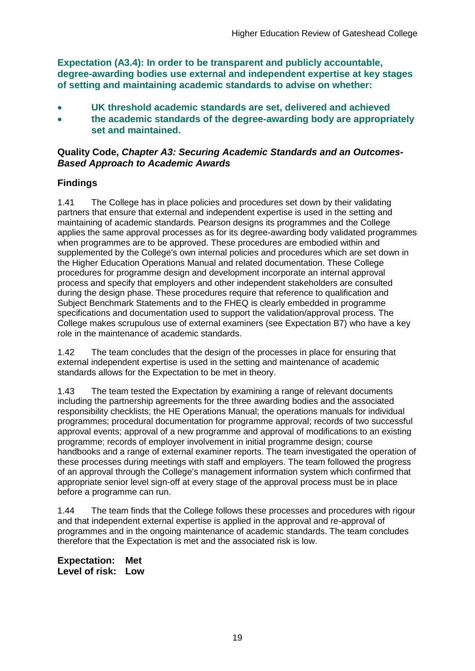**Expectation (A3.4): In order to be transparent and publicly accountable, degree-awarding bodies use external and independent expertise at key stages of setting and maintaining academic standards to advise on whether:**

- **UK threshold academic standards are set, delivered and achieved**
- **the academic standards of the degree-awarding body are appropriately set and maintained.**

#### **Quality Code,** *Chapter A3: Securing Academic Standards and an Outcomes-Based Approach to Academic Awards*

### **Findings**

1.41 The College has in place policies and procedures set down by their validating partners that ensure that external and independent expertise is used in the setting and maintaining of academic standards. Pearson designs its programmes and the College applies the same approval processes as for its degree-awarding body validated programmes when programmes are to be approved. These procedures are embodied within and supplemented by the College's own internal policies and procedures which are set down in the Higher Education Operations Manual and related documentation. These College procedures for programme design and development incorporate an internal approval process and specify that employers and other independent stakeholders are consulted during the design phase. These procedures require that reference to qualification and Subject Benchmark Statements and to the FHEQ is clearly embedded in programme specifications and documentation used to support the validation/approval process. The College makes scrupulous use of external examiners (see Expectation B7) who have a key role in the maintenance of academic standards.

1.42 The team concludes that the design of the processes in place for ensuring that external independent expertise is used in the setting and maintenance of academic standards allows for the Expectation to be met in theory.

1.43 The team tested the Expectation by examining a range of relevant documents including the partnership agreements for the three awarding bodies and the associated responsibility checklists; the HE Operations Manual; the operations manuals for individual programmes; procedural documentation for programme approval; records of two successful approval events; approval of a new programme and approval of modifications to an existing programme; records of employer involvement in initial programme design; course handbooks and a range of external examiner reports. The team investigated the operation of these processes during meetings with staff and employers. The team followed the progress of an approval through the College's management information system which confirmed that appropriate senior level sign-off at every stage of the approval process must be in place before a programme can run.

1.44 The team finds that the College follows these processes and procedures with rigour and that independent external expertise is applied in the approval and re-approval of programmes and in the ongoing maintenance of academic standards. The team concludes therefore that the Expectation is met and the associated risk is low.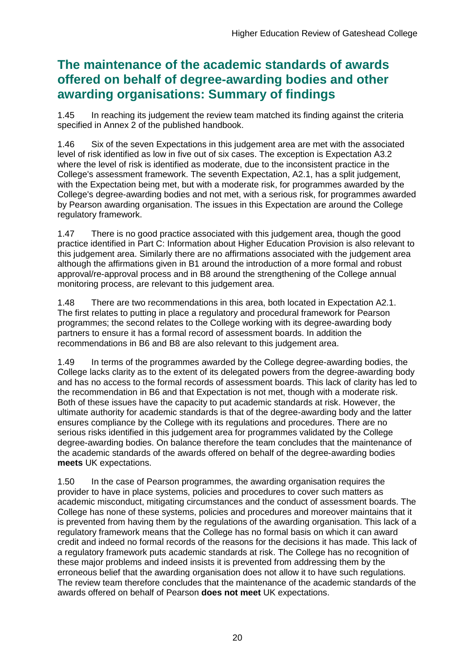## **The maintenance of the academic standards of awards offered on behalf of degree-awarding bodies and other awarding organisations: Summary of findings**

1.45 In reaching its judgement the review team matched its finding against the criteria specified in Annex 2 of the published handbook.

1.46 Six of the seven Expectations in this judgement area are met with the associated level of risk identified as low in five out of six cases. The exception is Expectation A3.2 where the level of risk is identified as moderate, due to the inconsistent practice in the College's assessment framework. The seventh Expectation, A2.1, has a split judgement, with the Expectation being met, but with a moderate risk, for programmes awarded by the College's degree-awarding bodies and not met, with a serious risk, for programmes awarded by Pearson awarding organisation. The issues in this Expectation are around the College regulatory framework.

1.47 There is no good practice associated with this judgement area, though the good practice identified in Part C: Information about Higher Education Provision is also relevant to this judgement area. Similarly there are no affirmations associated with the judgement area although the affirmations given in B1 around the introduction of a more formal and robust approval/re-approval process and in B8 around the strengthening of the College annual monitoring process, are relevant to this judgement area.

1.48 There are two recommendations in this area, both located in Expectation A2.1. The first relates to putting in place a regulatory and procedural framework for Pearson programmes; the second relates to the College working with its degree-awarding body partners to ensure it has a formal record of assessment boards. In addition the recommendations in B6 and B8 are also relevant to this judgement area.

1.49 In terms of the programmes awarded by the College degree-awarding bodies, the College lacks clarity as to the extent of its delegated powers from the degree-awarding body and has no access to the formal records of assessment boards. This lack of clarity has led to the recommendation in B6 and that Expectation is not met, though with a moderate risk. Both of these issues have the capacity to put academic standards at risk. However, the ultimate authority for academic standards is that of the degree-awarding body and the latter ensures compliance by the College with its regulations and procedures. There are no serious risks identified in this judgement area for programmes validated by the College degree-awarding bodies. On balance therefore the team concludes that the maintenance of the academic standards of the awards offered on behalf of the degree-awarding bodies **meets** UK expectations.

1.50 In the case of Pearson programmes, the awarding organisation requires the provider to have in place systems, policies and procedures to cover such matters as academic misconduct, mitigating circumstances and the conduct of assessment boards. The College has none of these systems, policies and procedures and moreover maintains that it is prevented from having them by the regulations of the awarding organisation. This lack of a regulatory framework means that the College has no formal basis on which it can award credit and indeed no formal records of the reasons for the decisions it has made. This lack of a regulatory framework puts academic standards at risk. The College has no recognition of these major problems and indeed insists it is prevented from addressing them by the erroneous belief that the awarding organisation does not allow it to have such regulations. The review team therefore concludes that the maintenance of the academic standards of the awards offered on behalf of Pearson **does not meet** UK expectations.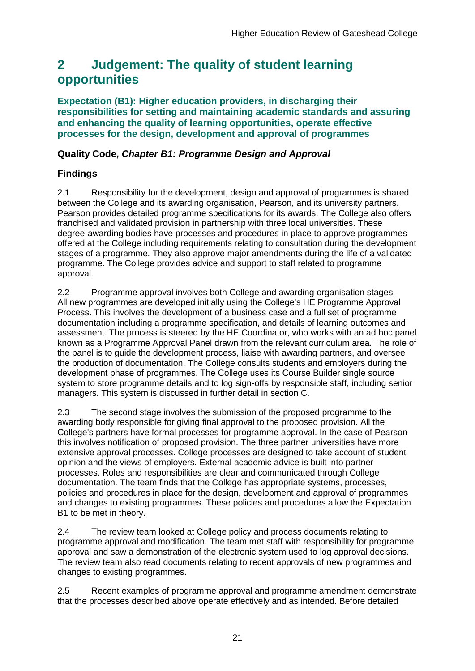## <span id="page-21-0"></span>**2 Judgement: The quality of student learning opportunities**

**Expectation (B1): Higher education providers, in discharging their responsibilities for setting and maintaining academic standards and assuring and enhancing the quality of learning opportunities, operate effective processes for the design, development and approval of programmes**

## **Quality Code,** *Chapter B1: Programme Design and Approval*

## **Findings**

2.1 Responsibility for the development, design and approval of programmes is shared between the College and its awarding organisation, Pearson, and its university partners. Pearson provides detailed programme specifications for its awards. The College also offers franchised and validated provision in partnership with three local universities. These degree-awarding bodies have processes and procedures in place to approve programmes offered at the College including requirements relating to consultation during the development stages of a programme. They also approve major amendments during the life of a validated programme. The College provides advice and support to staff related to programme approval.

2.2 Programme approval involves both College and awarding organisation stages. All new programmes are developed initially using the College's HE Programme Approval Process. This involves the development of a business case and a full set of programme documentation including a programme specification, and details of learning outcomes and assessment. The process is steered by the HE Coordinator, who works with an ad hoc panel known as a Programme Approval Panel drawn from the relevant curriculum area. The role of the panel is to guide the development process, liaise with awarding partners, and oversee the production of documentation. The College consults students and employers during the development phase of programmes. The College uses its Course Builder single source system to store programme details and to log sign-offs by responsible staff, including senior managers. This system is discussed in further detail in section C.

2.3 The second stage involves the submission of the proposed programme to the awarding body responsible for giving final approval to the proposed provision. All the College's partners have formal processes for programme approval. In the case of Pearson this involves notification of proposed provision. The three partner universities have more extensive approval processes. College processes are designed to take account of student opinion and the views of employers. External academic advice is built into partner processes. Roles and responsibilities are clear and communicated through College documentation. The team finds that the College has appropriate systems, processes, policies and procedures in place for the design, development and approval of programmes and changes to existing programmes. These policies and procedures allow the Expectation B1 to be met in theory.

2.4 The review team looked at College policy and process documents relating to programme approval and modification. The team met staff with responsibility for programme approval and saw a demonstration of the electronic system used to log approval decisions. The review team also read documents relating to recent approvals of new programmes and changes to existing programmes.

2.5 Recent examples of programme approval and programme amendment demonstrate that the processes described above operate effectively and as intended. Before detailed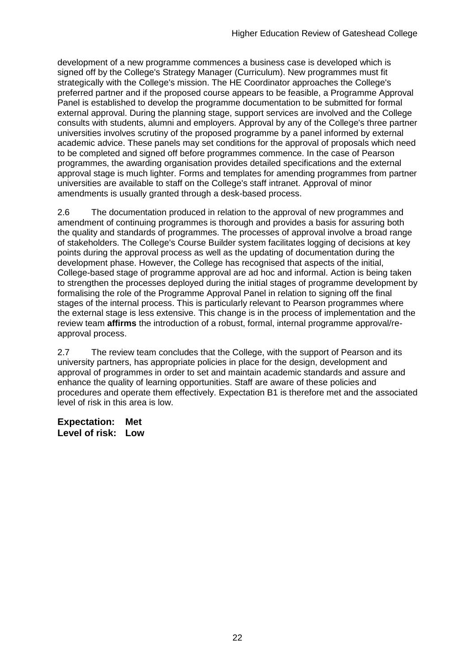development of a new programme commences a business case is developed which is signed off by the College's Strategy Manager (Curriculum). New programmes must fit strategically with the College's mission. The HE Coordinator approaches the College's preferred partner and if the proposed course appears to be feasible, a Programme Approval Panel is established to develop the programme documentation to be submitted for formal external approval. During the planning stage, support services are involved and the College consults with students, alumni and employers. Approval by any of the College's three partner universities involves scrutiny of the proposed programme by a panel informed by external academic advice. These panels may set conditions for the approval of proposals which need to be completed and signed off before programmes commence. In the case of Pearson programmes, the awarding organisation provides detailed specifications and the external approval stage is much lighter. Forms and templates for amending programmes from partner universities are available to staff on the College's staff intranet. Approval of minor amendments is usually granted through a desk-based process.

2.6 The documentation produced in relation to the approval of new programmes and amendment of continuing programmes is thorough and provides a basis for assuring both the quality and standards of programmes. The processes of approval involve a broad range of stakeholders. The College's Course Builder system facilitates logging of decisions at key points during the approval process as well as the updating of documentation during the development phase. However, the College has recognised that aspects of the initial, College-based stage of programme approval are ad hoc and informal. Action is being taken to strengthen the processes deployed during the initial stages of programme development by formalising the role of the Programme Approval Panel in relation to signing off the final stages of the internal process. This is particularly relevant to Pearson programmes where the external stage is less extensive. This change is in the process of implementation and the review team **affirms** the introduction of a robust, formal, internal programme approval/reapproval process.

2.7 The review team concludes that the College, with the support of Pearson and its university partners, has appropriate policies in place for the design, development and approval of programmes in order to set and maintain academic standards and assure and enhance the quality of learning opportunities. Staff are aware of these policies and procedures and operate them effectively. Expectation B1 is therefore met and the associated level of risk in this area is low.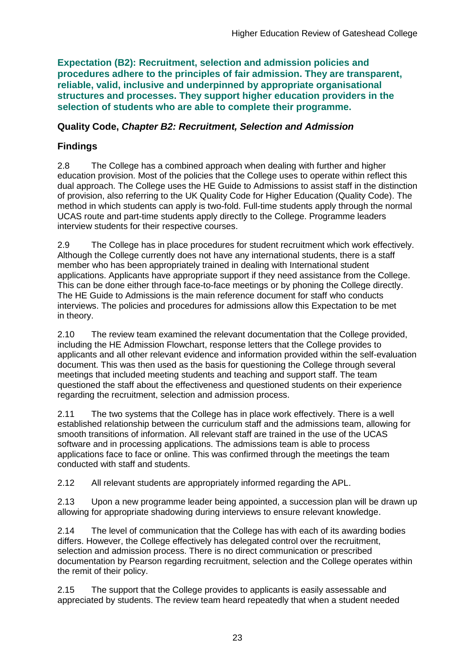**Expectation (B2): Recruitment, selection and admission policies and procedures adhere to the principles of fair admission. They are transparent, reliable, valid, inclusive and underpinned by appropriate organisational structures and processes. They support higher education providers in the selection of students who are able to complete their programme.**

### **Quality Code,** *Chapter B2: Recruitment, Selection and Admission*

## **Findings**

2.8 The College has a combined approach when dealing with further and higher education provision. Most of the policies that the College uses to operate within reflect this dual approach. The College uses the HE Guide to Admissions to assist staff in the distinction of provision, also referring to the UK Quality Code for Higher Education (Quality Code). The method in which students can apply is two-fold. Full-time students apply through the normal UCAS route and part-time students apply directly to the College. Programme leaders interview students for their respective courses.

2.9 The College has in place procedures for student recruitment which work effectively. Although the College currently does not have any international students, there is a staff member who has been appropriately trained in dealing with International student applications. Applicants have appropriate support if they need assistance from the College. This can be done either through face-to-face meetings or by phoning the College directly. The HE Guide to Admissions is the main reference document for staff who conducts interviews. The policies and procedures for admissions allow this Expectation to be met in theory.

2.10 The review team examined the relevant documentation that the College provided, including the HE Admission Flowchart, response letters that the College provides to applicants and all other relevant evidence and information provided within the self-evaluation document. This was then used as the basis for questioning the College through several meetings that included meeting students and teaching and support staff. The team questioned the staff about the effectiveness and questioned students on their experience regarding the recruitment, selection and admission process.

2.11 The two systems that the College has in place work effectively. There is a well established relationship between the curriculum staff and the admissions team, allowing for smooth transitions of information. All relevant staff are trained in the use of the UCAS software and in processing applications. The admissions team is able to process applications face to face or online. This was confirmed through the meetings the team conducted with staff and students.

2.12 All relevant students are appropriately informed regarding the APL.

2.13 Upon a new programme leader being appointed, a succession plan will be drawn up allowing for appropriate shadowing during interviews to ensure relevant knowledge.

2.14 The level of communication that the College has with each of its awarding bodies differs. However, the College effectively has delegated control over the recruitment, selection and admission process. There is no direct communication or prescribed documentation by Pearson regarding recruitment, selection and the College operates within the remit of their policy.

2.15 The support that the College provides to applicants is easily assessable and appreciated by students. The review team heard repeatedly that when a student needed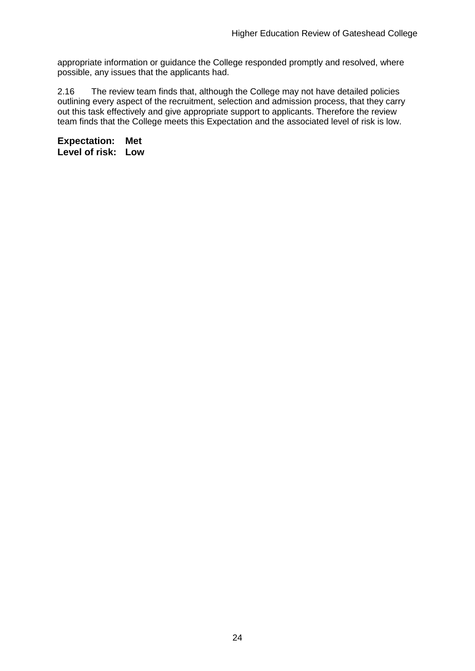appropriate information or guidance the College responded promptly and resolved, where possible, any issues that the applicants had.

2.16 The review team finds that, although the College may not have detailed policies outlining every aspect of the recruitment, selection and admission process, that they carry out this task effectively and give appropriate support to applicants. Therefore the review team finds that the College meets this Expectation and the associated level of risk is low.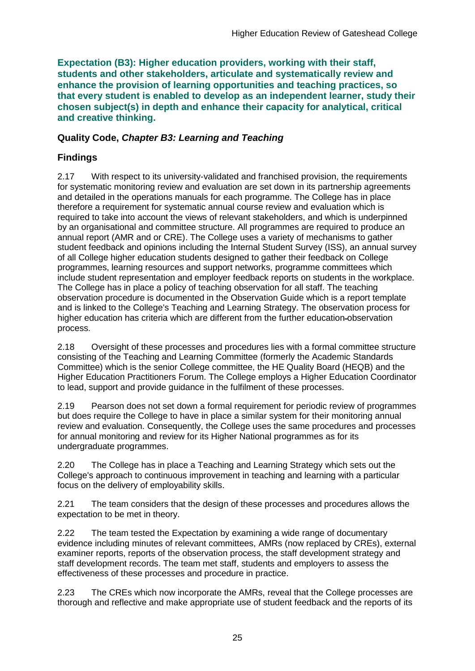**Expectation (B3): Higher education providers, working with their staff, students and other stakeholders, articulate and systematically review and enhance the provision of learning opportunities and teaching practices, so that every student is enabled to develop as an independent learner, study their chosen subject(s) in depth and enhance their capacity for analytical, critical and creative thinking.**

#### **Quality Code,** *Chapter B3: Learning and Teaching*

## **Findings**

2.17 With respect to its university-validated and franchised provision, the requirements for systematic monitoring review and evaluation are set down in its partnership agreements and detailed in the operations manuals for each programme. The College has in place therefore a requirement for systematic annual course review and evaluation which is required to take into account the views of relevant stakeholders, and which is underpinned by an organisational and committee structure. All programmes are required to produce an annual report (AMR and or CRE). The College uses a variety of mechanisms to gather student feedback and opinions including the Internal Student Survey (ISS), an annual survey of all College higher education students designed to gather their feedback on College programmes, learning resources and support networks, programme committees which include student representation and employer feedback reports on students in the workplace. The College has in place a policy of teaching observation for all staff. The teaching observation procedure is documented in the Observation Guide which is a report template and is linked to the College's Teaching and Learning Strategy. The observation process for higher education has criteria which are different from the further education observation process.

2.18 Oversight of these processes and procedures lies with a formal committee structure consisting of the Teaching and Learning Committee (formerly the Academic Standards Committee) which is the senior College committee, the HE Quality Board (HEQB) and the Higher Education Practitioners Forum. The College employs a Higher Education Coordinator to lead, support and provide guidance in the fulfilment of these processes.

2.19 Pearson does not set down a formal requirement for periodic review of programmes but does require the College to have in place a similar system for their monitoring annual review and evaluation. Consequently, the College uses the same procedures and processes for annual monitoring and review for its Higher National programmes as for its undergraduate programmes.

2.20 The College has in place a Teaching and Learning Strategy which sets out the College's approach to continuous improvement in teaching and learning with a particular focus on the delivery of employability skills.

2.21 The team considers that the design of these processes and procedures allows the expectation to be met in theory.

2.22 The team tested the Expectation by examining a wide range of documentary evidence including minutes of relevant committees, AMRs (now replaced by CREs), external examiner reports, reports of the observation process, the staff development strategy and staff development records. The team met staff, students and employers to assess the effectiveness of these processes and procedure in practice.

2.23 The CREs which now incorporate the AMRs, reveal that the College processes are thorough and reflective and make appropriate use of student feedback and the reports of its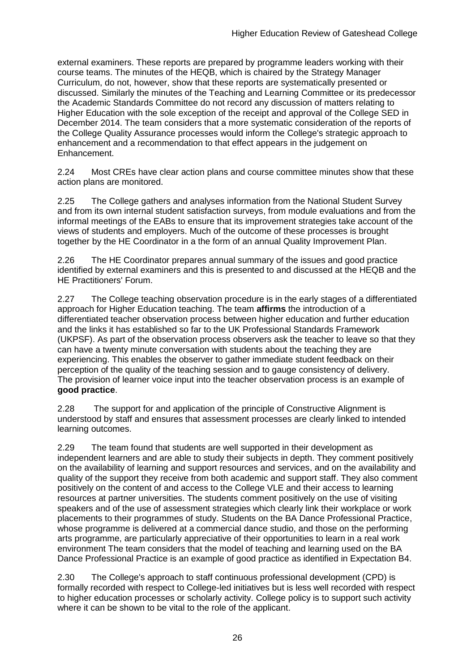external examiners. These reports are prepared by programme leaders working with their course teams. The minutes of the HEQB, which is chaired by the Strategy Manager Curriculum, do not, however, show that these reports are systematically presented or discussed. Similarly the minutes of the Teaching and Learning Committee or its predecessor the Academic Standards Committee do not record any discussion of matters relating to Higher Education with the sole exception of the receipt and approval of the College SED in December 2014. The team considers that a more systematic consideration of the reports of the College Quality Assurance processes would inform the College's strategic approach to enhancement and a recommendation to that effect appears in the judgement on Enhancement.

2.24 Most CREs have clear action plans and course committee minutes show that these action plans are monitored.

2.25 The College gathers and analyses information from the National Student Survey and from its own internal student satisfaction surveys, from module evaluations and from the informal meetings of the EABs to ensure that its improvement strategies take account of the views of students and employers. Much of the outcome of these processes is brought together by the HE Coordinator in a the form of an annual Quality Improvement Plan.

2.26 The HE Coordinator prepares annual summary of the issues and good practice identified by external examiners and this is presented to and discussed at the HEQB and the HE Practitioners' Forum.

2.27 The College teaching observation procedure is in the early stages of a differentiated approach for Higher Education teaching. The team **affirms** the introduction of a differentiated teacher observation process between higher education and further education and the links it has established so far to the UK Professional Standards Framework (UKPSF). As part of the observation process observers ask the teacher to leave so that they can have a twenty minute conversation with students about the teaching they are experiencing. This enables the observer to gather immediate student feedback on their perception of the quality of the teaching session and to gauge consistency of delivery. The provision of learner voice input into the teacher observation process is an example of **good practice**.

2.28 The support for and application of the principle of Constructive Alignment is understood by staff and ensures that assessment processes are clearly linked to intended learning outcomes.

2.29 The team found that students are well supported in their development as independent learners and are able to study their subjects in depth. They comment positively on the availability of learning and support resources and services, and on the availability and quality of the support they receive from both academic and support staff. They also comment positively on the content of and access to the College VLE and their access to learning resources at partner universities. The students comment positively on the use of visiting speakers and of the use of assessment strategies which clearly link their workplace or work placements to their programmes of study. Students on the BA Dance Professional Practice, whose programme is delivered at a commercial dance studio, and those on the performing arts programme, are particularly appreciative of their opportunities to learn in a real work environment The team considers that the model of teaching and learning used on the BA Dance Professional Practice is an example of good practice as identified in Expectation B4.

2.30 The College's approach to staff continuous professional development (CPD) is formally recorded with respect to College-led initiatives but is less well recorded with respect to higher education processes or scholarly activity. College policy is to support such activity where it can be shown to be vital to the role of the applicant.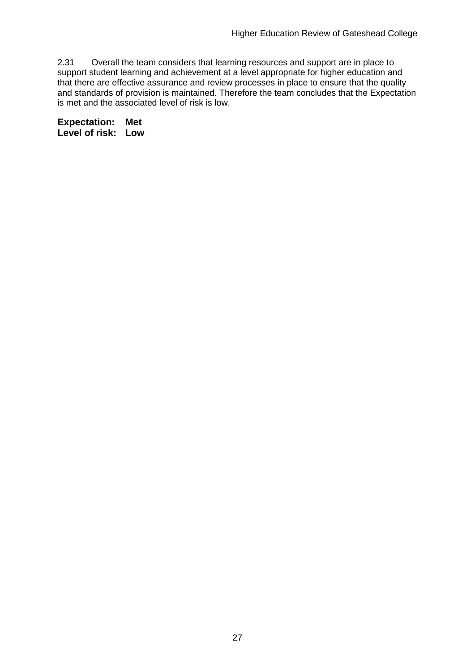2.31 Overall the team considers that learning resources and support are in place to support student learning and achievement at a level appropriate for higher education and that there are effective assurance and review processes in place to ensure that the quality and standards of provision is maintained. Therefore the team concludes that the Expectation is met and the associated level of risk is low.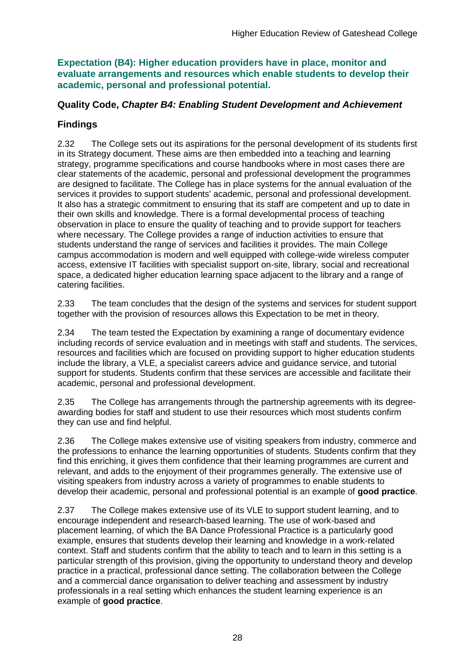**Expectation (B4): Higher education providers have in place, monitor and evaluate arrangements and resources which enable students to develop their academic, personal and professional potential.**

### **Quality Code,** *Chapter B4: Enabling Student Development and Achievement*

## **Findings**

2.32 The College sets out its aspirations for the personal development of its students first in its Strategy document. These aims are then embedded into a teaching and learning strategy, programme specifications and course handbooks where in most cases there are clear statements of the academic, personal and professional development the programmes are designed to facilitate. The College has in place systems for the annual evaluation of the services it provides to support students' academic, personal and professional development. It also has a strategic commitment to ensuring that its staff are competent and up to date in their own skills and knowledge. There is a formal developmental process of teaching observation in place to ensure the quality of teaching and to provide support for teachers where necessary. The College provides a range of induction activities to ensure that students understand the range of services and facilities it provides. The main College campus accommodation is modern and well equipped with college-wide wireless computer access, extensive IT facilities with specialist support on-site, library, social and recreational space, a dedicated higher education learning space adjacent to the library and a range of catering facilities.

2.33 The team concludes that the design of the systems and services for student support together with the provision of resources allows this Expectation to be met in theory.

2.34 The team tested the Expectation by examining a range of documentary evidence including records of service evaluation and in meetings with staff and students. The services, resources and facilities which are focused on providing support to higher education students include the library, a VLE, a specialist careers advice and guidance service, and tutorial support for students. Students confirm that these services are accessible and facilitate their academic, personal and professional development.

2.35 The College has arrangements through the partnership agreements with its degreeawarding bodies for staff and student to use their resources which most students confirm they can use and find helpful.

2.36 The College makes extensive use of visiting speakers from industry, commerce and the professions to enhance the learning opportunities of students. Students confirm that they find this enriching, it gives them confidence that their learning programmes are current and relevant, and adds to the enjoyment of their programmes generally. The extensive use of visiting speakers from industry across a variety of programmes to enable students to develop their academic, personal and professional potential is an example of **good practice**.

2.37 The College makes extensive use of its VLE to support student learning, and to encourage independent and research-based learning. The use of work-based and placement learning, of which the BA Dance Professional Practice is a particularly good example, ensures that students develop their learning and knowledge in a work-related context. Staff and students confirm that the ability to teach and to learn in this setting is a particular strength of this provision, giving the opportunity to understand theory and develop practice in a practical, professional dance setting. The collaboration between the College and a commercial dance organisation to deliver teaching and assessment by industry professionals in a real setting which enhances the student learning experience is an example of **good practice**.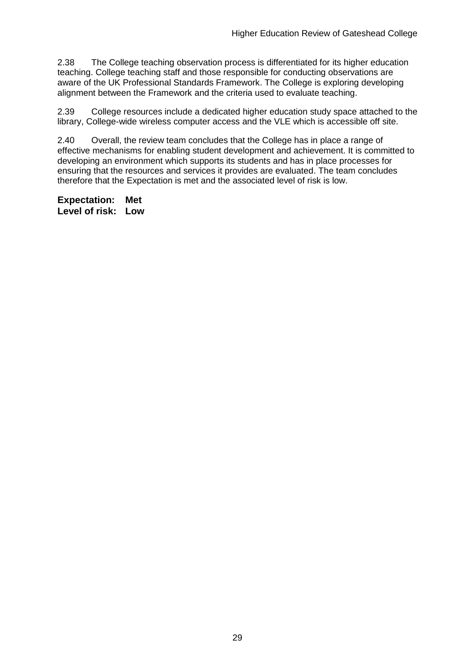2.38 The College teaching observation process is differentiated for its higher education teaching. College teaching staff and those responsible for conducting observations are aware of the UK Professional Standards Framework. The College is exploring developing alignment between the Framework and the criteria used to evaluate teaching.

2.39 College resources include a dedicated higher education study space attached to the library, College-wide wireless computer access and the VLE which is accessible off site.

2.40 Overall, the review team concludes that the College has in place a range of effective mechanisms for enabling student development and achievement. It is committed to developing an environment which supports its students and has in place processes for ensuring that the resources and services it provides are evaluated. The team concludes therefore that the Expectation is met and the associated level of risk is low.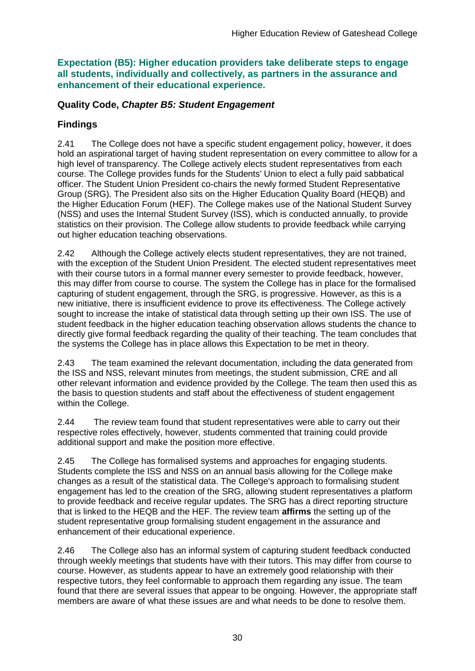**Expectation (B5): Higher education providers take deliberate steps to engage all students, individually and collectively, as partners in the assurance and enhancement of their educational experience.**

### **Quality Code,** *Chapter B5: Student Engagement*

## **Findings**

2.41 The College does not have a specific student engagement policy, however, it does hold an aspirational target of having student representation on every committee to allow for a high level of transparency. The College actively elects student representatives from each course. The College provides funds for the Students' Union to elect a fully paid sabbatical officer. The Student Union President co-chairs the newly formed Student Representative Group (SRG). The President also sits on the Higher Education Quality Board (HEQB) and the Higher Education Forum (HEF). The College makes use of the National Student Survey (NSS) and uses the Internal Student Survey (ISS), which is conducted annually, to provide statistics on their provision. The College allow students to provide feedback while carrying out higher education teaching observations.

2.42 Although the College actively elects student representatives, they are not trained, with the exception of the Student Union President. The elected student representatives meet with their course tutors in a formal manner every semester to provide feedback, however, this may differ from course to course. The system the College has in place for the formalised capturing of student engagement, through the SRG, is progressive. However, as this is a new initiative, there is insufficient evidence to prove its effectiveness. The College actively sought to increase the intake of statistical data through setting up their own ISS. The use of student feedback in the higher education teaching observation allows students the chance to directly give formal feedback regarding the quality of their teaching. The team concludes that the systems the College has in place allows this Expectation to be met in theory.

2.43 The team examined the relevant documentation, including the data generated from the ISS and NSS, relevant minutes from meetings, the student submission, CRE and all other relevant information and evidence provided by the College. The team then used this as the basis to question students and staff about the effectiveness of student engagement within the College.

2.44 The review team found that student representatives were able to carry out their respective roles effectively, however, students commented that training could provide additional support and make the position more effective.

2.45 The College has formalised systems and approaches for engaging students. Students complete the ISS and NSS on an annual basis allowing for the College make changes as a result of the statistical data. The College's approach to formalising student engagement has led to the creation of the SRG, allowing student representatives a platform to provide feedback and receive regular updates. The SRG has a direct reporting structure that is linked to the HEQB and the HEF. The review team **affirms** the setting up of the student representative group formalising student engagement in the assurance and enhancement of their educational experience.

2.46 The College also has an informal system of capturing student feedback conducted through weekly meetings that students have with their tutors. This may differ from course to course. However, as students appear to have an extremely good relationship with their respective tutors, they feel conformable to approach them regarding any issue. The team found that there are several issues that appear to be ongoing. However, the appropriate staff members are aware of what these issues are and what needs to be done to resolve them.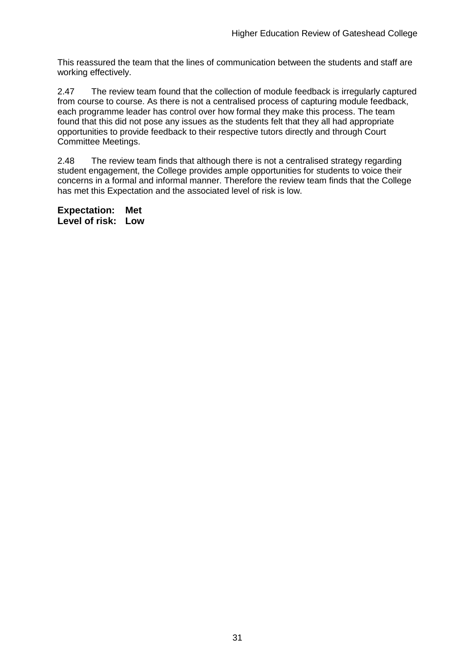This reassured the team that the lines of communication between the students and staff are working effectively.

2.47 The review team found that the collection of module feedback is irregularly captured from course to course. As there is not a centralised process of capturing module feedback, each programme leader has control over how formal they make this process. The team found that this did not pose any issues as the students felt that they all had appropriate opportunities to provide feedback to their respective tutors directly and through Court Committee Meetings.

2.48 The review team finds that although there is not a centralised strategy regarding student engagement, the College provides ample opportunities for students to voice their concerns in a formal and informal manner. Therefore the review team finds that the College has met this Expectation and the associated level of risk is low.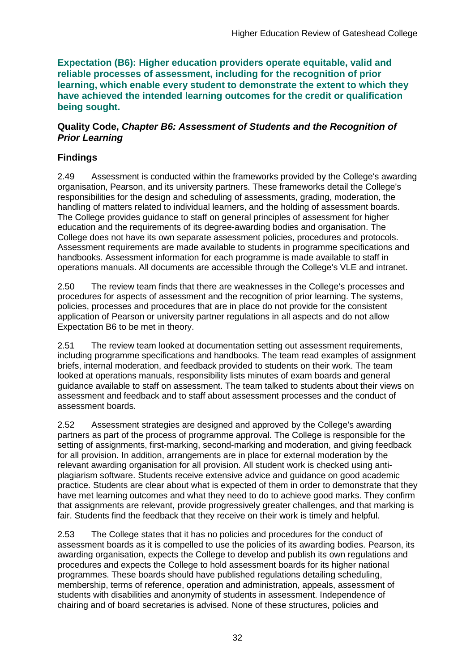**Expectation (B6): Higher education providers operate equitable, valid and reliable processes of assessment, including for the recognition of prior learning, which enable every student to demonstrate the extent to which they have achieved the intended learning outcomes for the credit or qualification being sought.**

#### **Quality Code,** *Chapter B6: Assessment of Students and the Recognition of Prior Learning*

## **Findings**

2.49 Assessment is conducted within the frameworks provided by the College's awarding organisation, Pearson, and its university partners. These frameworks detail the College's responsibilities for the design and scheduling of assessments, grading, moderation, the handling of matters related to individual learners, and the holding of assessment boards. The College provides guidance to staff on general principles of assessment for higher education and the requirements of its degree-awarding bodies and organisation. The College does not have its own separate assessment policies, procedures and protocols. Assessment requirements are made available to students in programme specifications and handbooks. Assessment information for each programme is made available to staff in operations manuals. All documents are accessible through the College's VLE and intranet.

2.50 The review team finds that there are weaknesses in the College's processes and procedures for aspects of assessment and the recognition of prior learning. The systems, policies, processes and procedures that are in place do not provide for the consistent application of Pearson or university partner regulations in all aspects and do not allow Expectation B6 to be met in theory.

2.51 The review team looked at documentation setting out assessment requirements, including programme specifications and handbooks. The team read examples of assignment briefs, internal moderation, and feedback provided to students on their work. The team looked at operations manuals, responsibility lists minutes of exam boards and general guidance available to staff on assessment. The team talked to students about their views on assessment and feedback and to staff about assessment processes and the conduct of assessment boards.

2.52 Assessment strategies are designed and approved by the College's awarding partners as part of the process of programme approval. The College is responsible for the setting of assignments, first-marking, second-marking and moderation, and giving feedback for all provision. In addition, arrangements are in place for external moderation by the relevant awarding organisation for all provision. All student work is checked using antiplagiarism software. Students receive extensive advice and guidance on good academic practice. Students are clear about what is expected of them in order to demonstrate that they have met learning outcomes and what they need to do to achieve good marks. They confirm that assignments are relevant, provide progressively greater challenges, and that marking is fair. Students find the feedback that they receive on their work is timely and helpful.

2.53 The College states that it has no policies and procedures for the conduct of assessment boards as it is compelled to use the policies of its awarding bodies. Pearson, its awarding organisation, expects the College to develop and publish its own regulations and procedures and expects the College to hold assessment boards for its higher national programmes. These boards should have published regulations detailing scheduling, membership, terms of reference, operation and administration, appeals, assessment of students with disabilities and anonymity of students in assessment. Independence of chairing and of board secretaries is advised. None of these structures, policies and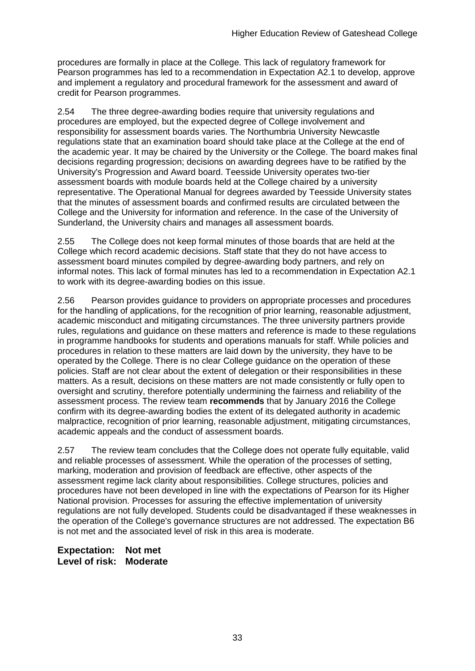procedures are formally in place at the College. This lack of regulatory framework for Pearson programmes has led to a recommendation in Expectation A2.1 to develop, approve and implement a regulatory and procedural framework for the assessment and award of credit for Pearson programmes.

2.54 The three degree-awarding bodies require that university regulations and procedures are employed, but the expected degree of College involvement and responsibility for assessment boards varies. The Northumbria University Newcastle regulations state that an examination board should take place at the College at the end of the academic year. It may be chaired by the University or the College. The board makes final decisions regarding progression; decisions on awarding degrees have to be ratified by the University's Progression and Award board. Teesside University operates two-tier assessment boards with module boards held at the College chaired by a university representative. The Operational Manual for degrees awarded by Teesside University states that the minutes of assessment boards and confirmed results are circulated between the College and the University for information and reference. In the case of the University of Sunderland, the University chairs and manages all assessment boards.

2.55 The College does not keep formal minutes of those boards that are held at the College which record academic decisions. Staff state that they do not have access to assessment board minutes compiled by degree-awarding body partners, and rely on informal notes. This lack of formal minutes has led to a recommendation in Expectation A2.1 to work with its degree-awarding bodies on this issue.

2.56 Pearson provides guidance to providers on appropriate processes and procedures for the handling of applications, for the recognition of prior learning, reasonable adjustment, academic misconduct and mitigating circumstances. The three university partners provide rules, regulations and guidance on these matters and reference is made to these regulations in programme handbooks for students and operations manuals for staff. While policies and procedures in relation to these matters are laid down by the university, they have to be operated by the College. There is no clear College guidance on the operation of these policies. Staff are not clear about the extent of delegation or their responsibilities in these matters. As a result, decisions on these matters are not made consistently or fully open to oversight and scrutiny, therefore potentially undermining the fairness and reliability of the assessment process. The review team **recommends** that by January 2016 the College confirm with its degree-awarding bodies the extent of its delegated authority in academic malpractice, recognition of prior learning, reasonable adjustment, mitigating circumstances, academic appeals and the conduct of assessment boards.

2.57 The review team concludes that the College does not operate fully equitable, valid and reliable processes of assessment. While the operation of the processes of setting, marking, moderation and provision of feedback are effective, other aspects of the assessment regime lack clarity about responsibilities. College structures, policies and procedures have not been developed in line with the expectations of Pearson for its Higher National provision. Processes for assuring the effective implementation of university regulations are not fully developed. Students could be disadvantaged if these weaknesses in the operation of the College's governance structures are not addressed. The expectation B6 is not met and the associated level of risk in this area is moderate.

**Expectation: Not met Level of risk: Moderate**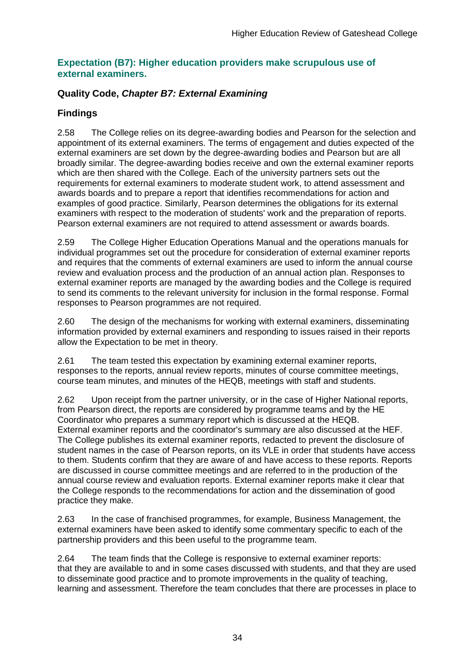#### **Expectation (B7): Higher education providers make scrupulous use of external examiners.**

## **Quality Code,** *Chapter B7: External Examining*

## **Findings**

2.58 The College relies on its degree-awarding bodies and Pearson for the selection and appointment of its external examiners. The terms of engagement and duties expected of the external examiners are set down by the degree-awarding bodies and Pearson but are all broadly similar. The degree-awarding bodies receive and own the external examiner reports which are then shared with the College. Each of the university partners sets out the requirements for external examiners to moderate student work, to attend assessment and awards boards and to prepare a report that identifies recommendations for action and examples of good practice. Similarly, Pearson determines the obligations for its external examiners with respect to the moderation of students' work and the preparation of reports. Pearson external examiners are not required to attend assessment or awards boards.

2.59 The College Higher Education Operations Manual and the operations manuals for individual programmes set out the procedure for consideration of external examiner reports and requires that the comments of external examiners are used to inform the annual course review and evaluation process and the production of an annual action plan. Responses to external examiner reports are managed by the awarding bodies and the College is required to send its comments to the relevant university for inclusion in the formal response. Formal responses to Pearson programmes are not required.

2.60 The design of the mechanisms for working with external examiners, disseminating information provided by external examiners and responding to issues raised in their reports allow the Expectation to be met in theory.

2.61 The team tested this expectation by examining external examiner reports, responses to the reports, annual review reports, minutes of course committee meetings, course team minutes, and minutes of the HEQB, meetings with staff and students.

2.62 Upon receipt from the partner university, or in the case of Higher National reports, from Pearson direct, the reports are considered by programme teams and by the HE Coordinator who prepares a summary report which is discussed at the HEQB. External examiner reports and the coordinator's summary are also discussed at the HEF. The College publishes its external examiner reports, redacted to prevent the disclosure of student names in the case of Pearson reports, on its VLE in order that students have access to them. Students confirm that they are aware of and have access to these reports. Reports are discussed in course committee meetings and are referred to in the production of the annual course review and evaluation reports. External examiner reports make it clear that the College responds to the recommendations for action and the dissemination of good practice they make.

2.63 In the case of franchised programmes, for example, Business Management, the external examiners have been asked to identify some commentary specific to each of the partnership providers and this been useful to the programme team.

2.64 The team finds that the College is responsive to external examiner reports: that they are available to and in some cases discussed with students, and that they are used to disseminate good practice and to promote improvements in the quality of teaching, learning and assessment. Therefore the team concludes that there are processes in place to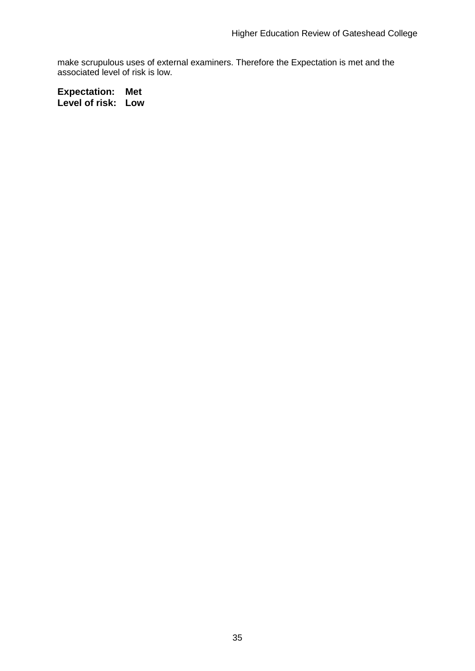make scrupulous uses of external examiners. Therefore the Expectation is met and the associated level of risk is low.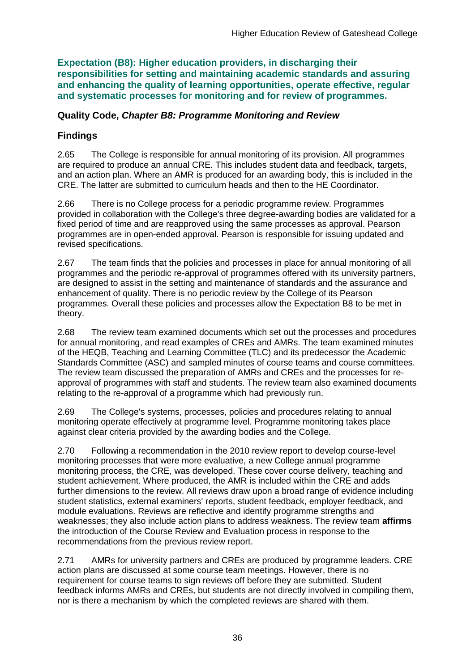**Expectation (B8): Higher education providers, in discharging their responsibilities for setting and maintaining academic standards and assuring and enhancing the quality of learning opportunities, operate effective, regular and systematic processes for monitoring and for review of programmes.**

### **Quality Code,** *Chapter B8: Programme Monitoring and Review*

## **Findings**

2.65 The College is responsible for annual monitoring of its provision. All programmes are required to produce an annual CRE. This includes student data and feedback, targets, and an action plan. Where an AMR is produced for an awarding body, this is included in the CRE. The latter are submitted to curriculum heads and then to the HE Coordinator.

2.66 There is no College process for a periodic programme review. Programmes provided in collaboration with the College's three degree-awarding bodies are validated for a fixed period of time and are reapproved using the same processes as approval. Pearson programmes are in open-ended approval. Pearson is responsible for issuing updated and revised specifications.

2.67 The team finds that the policies and processes in place for annual monitoring of all programmes and the periodic re-approval of programmes offered with its university partners, are designed to assist in the setting and maintenance of standards and the assurance and enhancement of quality. There is no periodic review by the College of its Pearson programmes. Overall these policies and processes allow the Expectation B8 to be met in theory.

2.68 The review team examined documents which set out the processes and procedures for annual monitoring, and read examples of CREs and AMRs. The team examined minutes of the HEQB, Teaching and Learning Committee (TLC) and its predecessor the Academic Standards Committee (ASC) and sampled minutes of course teams and course committees. The review team discussed the preparation of AMRs and CREs and the processes for reapproval of programmes with staff and students. The review team also examined documents relating to the re-approval of a programme which had previously run.

2.69 The College's systems, processes, policies and procedures relating to annual monitoring operate effectively at programme level. Programme monitoring takes place against clear criteria provided by the awarding bodies and the College.

2.70 Following a recommendation in the 2010 review report to develop course-level monitoring processes that were more evaluative, a new College annual programme monitoring process, the CRE, was developed. These cover course delivery, teaching and student achievement. Where produced, the AMR is included within the CRE and adds further dimensions to the review. All reviews draw upon a broad range of evidence including student statistics, external examiners' reports, student feedback, employer feedback, and module evaluations. Reviews are reflective and identify programme strengths and weaknesses; they also include action plans to address weakness. The review team **affirms** the introduction of the Course Review and Evaluation process in response to the recommendations from the previous review report.

2.71 AMRs for university partners and CREs are produced by programme leaders. CRE action plans are discussed at some course team meetings. However, there is no requirement for course teams to sign reviews off before they are submitted. Student feedback informs AMRs and CREs, but students are not directly involved in compiling them, nor is there a mechanism by which the completed reviews are shared with them.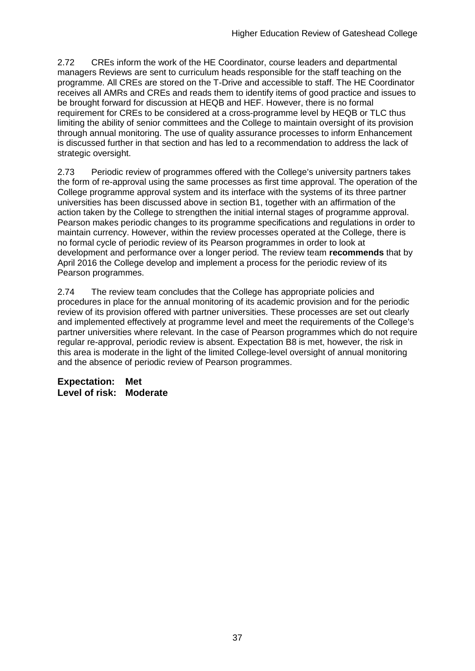2.72 CREs inform the work of the HE Coordinator, course leaders and departmental managers Reviews are sent to curriculum heads responsible for the staff teaching on the programme. All CREs are stored on the T-Drive and accessible to staff. The HE Coordinator receives all AMRs and CREs and reads them to identify items of good practice and issues to be brought forward for discussion at HEQB and HEF. However, there is no formal requirement for CREs to be considered at a cross-programme level by HEQB or TLC thus limiting the ability of senior committees and the College to maintain oversight of its provision through annual monitoring. The use of quality assurance processes to inform Enhancement is discussed further in that section and has led to a recommendation to address the lack of strategic oversight.

2.73 Periodic review of programmes offered with the College's university partners takes the form of re-approval using the same processes as first time approval. The operation of the College programme approval system and its interface with the systems of its three partner universities has been discussed above in section B1, together with an affirmation of the action taken by the College to strengthen the initial internal stages of programme approval. Pearson makes periodic changes to its programme specifications and regulations in order to maintain currency. However, within the review processes operated at the College, there is no formal cycle of periodic review of its Pearson programmes in order to look at development and performance over a longer period. The review team **recommends** that by April 2016 the College develop and implement a process for the periodic review of its Pearson programmes.

2.74 The review team concludes that the College has appropriate policies and procedures in place for the annual monitoring of its academic provision and for the periodic review of its provision offered with partner universities. These processes are set out clearly and implemented effectively at programme level and meet the requirements of the College's partner universities where relevant. In the case of Pearson programmes which do not require regular re-approval, periodic review is absent. Expectation B8 is met, however, the risk in this area is moderate in the light of the limited College-level oversight of annual monitoring and the absence of periodic review of Pearson programmes.

**Expectation: Met Level of risk: Moderate**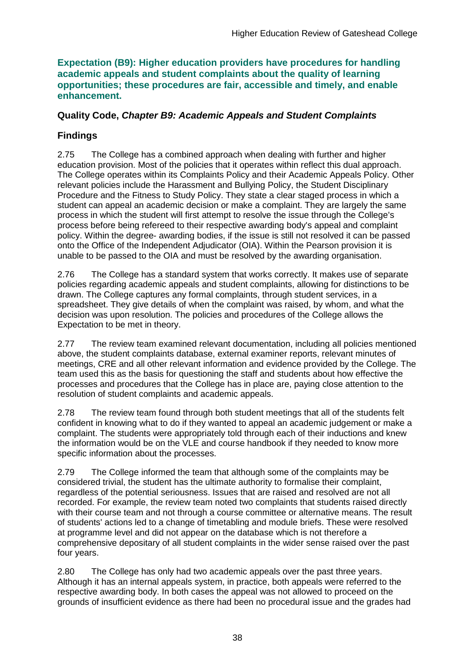#### **Expectation (B9): Higher education providers have procedures for handling academic appeals and student complaints about the quality of learning opportunities; these procedures are fair, accessible and timely, and enable enhancement.**

### **Quality Code,** *Chapter B9: Academic Appeals and Student Complaints*

## **Findings**

2.75 The College has a combined approach when dealing with further and higher education provision. Most of the policies that it operates within reflect this dual approach. The College operates within its Complaints Policy and their Academic Appeals Policy. Other relevant policies include the Harassment and Bullying Policy, the Student Disciplinary Procedure and the Fitness to Study Policy. They state a clear staged process in which a student can appeal an academic decision or make a complaint. They are largely the same process in which the student will first attempt to resolve the issue through the College's process before being refereed to their respective awarding body's appeal and complaint policy. Within the degree- awarding bodies, if the issue is still not resolved it can be passed onto the Office of the Independent Adjudicator (OIA). Within the Pearson provision it is unable to be passed to the OIA and must be resolved by the awarding organisation.

2.76 The College has a standard system that works correctly. It makes use of separate policies regarding academic appeals and student complaints, allowing for distinctions to be drawn. The College captures any formal complaints, through student services, in a spreadsheet. They give details of when the complaint was raised, by whom, and what the decision was upon resolution. The policies and procedures of the College allows the Expectation to be met in theory.

2.77 The review team examined relevant documentation, including all policies mentioned above, the student complaints database, external examiner reports, relevant minutes of meetings, CRE and all other relevant information and evidence provided by the College. The team used this as the basis for questioning the staff and students about how effective the processes and procedures that the College has in place are, paying close attention to the resolution of student complaints and academic appeals.

2.78 The review team found through both student meetings that all of the students felt confident in knowing what to do if they wanted to appeal an academic judgement or make a complaint. The students were appropriately told through each of their inductions and knew the information would be on the VLE and course handbook if they needed to know more specific information about the processes.

2.79 The College informed the team that although some of the complaints may be considered trivial, the student has the ultimate authority to formalise their complaint, regardless of the potential seriousness. Issues that are raised and resolved are not all recorded. For example, the review team noted two complaints that students raised directly with their course team and not through a course committee or alternative means. The result of students' actions led to a change of timetabling and module briefs. These were resolved at programme level and did not appear on the database which is not therefore a comprehensive depositary of all student complaints in the wider sense raised over the past four years.

2.80 The College has only had two academic appeals over the past three years. Although it has an internal appeals system, in practice, both appeals were referred to the respective awarding body. In both cases the appeal was not allowed to proceed on the grounds of insufficient evidence as there had been no procedural issue and the grades had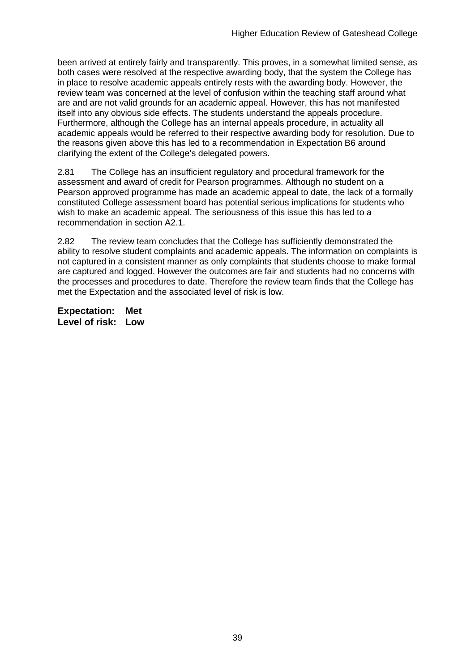been arrived at entirely fairly and transparently. This proves, in a somewhat limited sense, as both cases were resolved at the respective awarding body, that the system the College has in place to resolve academic appeals entirely rests with the awarding body. However, the review team was concerned at the level of confusion within the teaching staff around what are and are not valid grounds for an academic appeal. However, this has not manifested itself into any obvious side effects. The students understand the appeals procedure. Furthermore, although the College has an internal appeals procedure, in actuality all academic appeals would be referred to their respective awarding body for resolution. Due to the reasons given above this has led to a recommendation in Expectation B6 around clarifying the extent of the College's delegated powers.

2.81 The College has an insufficient regulatory and procedural framework for the assessment and award of credit for Pearson programmes. Although no student on a Pearson approved programme has made an academic appeal to date, the lack of a formally constituted College assessment board has potential serious implications for students who wish to make an academic appeal. The seriousness of this issue this has led to a recommendation in section A2.1.

2.82 The review team concludes that the College has sufficiently demonstrated the ability to resolve student complaints and academic appeals. The information on complaints is not captured in a consistent manner as only complaints that students choose to make formal are captured and logged. However the outcomes are fair and students had no concerns with the processes and procedures to date. Therefore the review team finds that the College has met the Expectation and the associated level of risk is low.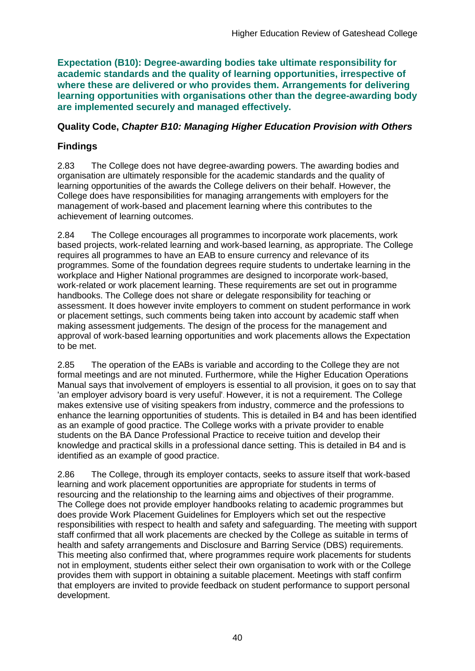**Expectation (B10): Degree-awarding bodies take ultimate responsibility for academic standards and the quality of learning opportunities, irrespective of where these are delivered or who provides them. Arrangements for delivering learning opportunities with organisations other than the degree-awarding body are implemented securely and managed effectively.**

#### **Quality Code,** *Chapter B10: Managing Higher Education Provision with Others*

## **Findings**

2.83 The College does not have degree-awarding powers. The awarding bodies and organisation are ultimately responsible for the academic standards and the quality of learning opportunities of the awards the College delivers on their behalf. However, the College does have responsibilities for managing arrangements with employers for the management of work-based and placement learning where this contributes to the achievement of learning outcomes.

2.84 The College encourages all programmes to incorporate work placements, work based projects, work-related learning and work-based learning, as appropriate. The College requires all programmes to have an EAB to ensure currency and relevance of its programmes. Some of the foundation degrees require students to undertake learning in the workplace and Higher National programmes are designed to incorporate work-based, work-related or work placement learning. These requirements are set out in programme handbooks. The College does not share or delegate responsibility for teaching or assessment. It does however invite employers to comment on student performance in work or placement settings, such comments being taken into account by academic staff when making assessment judgements. The design of the process for the management and approval of work-based learning opportunities and work placements allows the Expectation to be met.

2.85 The operation of the EABs is variable and according to the College they are not formal meetings and are not minuted. Furthermore, while the Higher Education Operations Manual says that involvement of employers is essential to all provision, it goes on to say that 'an employer advisory board is very useful'. However, it is not a requirement. The College makes extensive use of visiting speakers from industry, commerce and the professions to enhance the learning opportunities of students. This is detailed in B4 and has been identified as an example of good practice. The College works with a private provider to enable students on the BA Dance Professional Practice to receive tuition and develop their knowledge and practical skills in a professional dance setting. This is detailed in B4 and is identified as an example of good practice.

2.86 The College, through its employer contacts, seeks to assure itself that work-based learning and work placement opportunities are appropriate for students in terms of resourcing and the relationship to the learning aims and objectives of their programme. The College does not provide employer handbooks relating to academic programmes but does provide Work Placement Guidelines for Employers which set out the respective responsibilities with respect to health and safety and safeguarding. The meeting with support staff confirmed that all work placements are checked by the College as suitable in terms of health and safety arrangements and Disclosure and Barring Service (DBS) requirements. This meeting also confirmed that, where programmes require work placements for students not in employment, students either select their own organisation to work with or the College provides them with support in obtaining a suitable placement. Meetings with staff confirm that employers are invited to provide feedback on student performance to support personal development.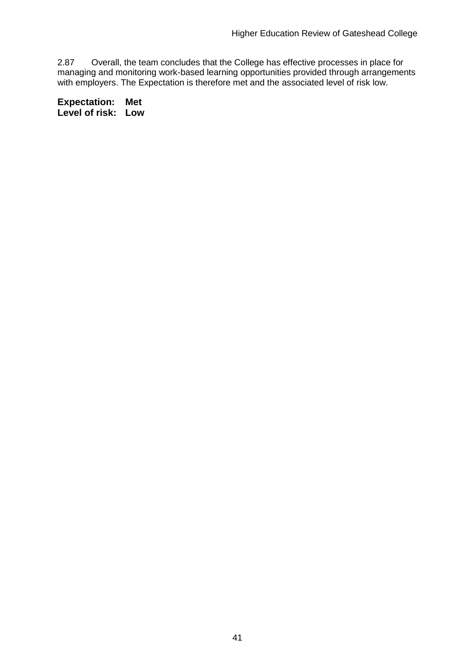2.87 Overall, the team concludes that the College has effective processes in place for managing and monitoring work-based learning opportunities provided through arrangements with employers. The Expectation is therefore met and the associated level of risk low.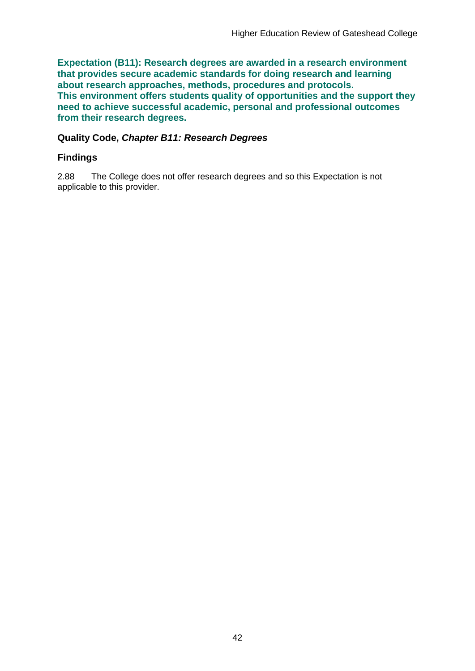**Expectation (B11): Research degrees are awarded in a research environment that provides secure academic standards for doing research and learning about research approaches, methods, procedures and protocols. This environment offers students quality of opportunities and the support they need to achieve successful academic, personal and professional outcomes from their research degrees.**

#### **Quality Code,** *Chapter B11: Research Degrees*

#### **Findings**

2.88 The College does not offer research degrees and so this Expectation is not applicable to this provider.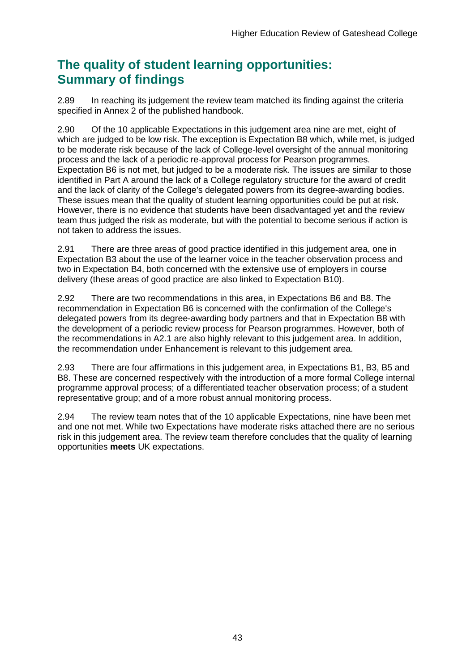## **The quality of student learning opportunities: Summary of findings**

2.89 In reaching its judgement the review team matched its finding against the criteria specified in Annex 2 of the published handbook.

2.90 Of the 10 applicable Expectations in this judgement area nine are met, eight of which are judged to be low risk. The exception is Expectation B8 which, while met, is judged to be moderate risk because of the lack of College-level oversight of the annual monitoring process and the lack of a periodic re-approval process for Pearson programmes. Expectation B6 is not met, but judged to be a moderate risk. The issues are similar to those identified in Part A around the lack of a College regulatory structure for the award of credit and the lack of clarity of the College's delegated powers from its degree-awarding bodies. These issues mean that the quality of student learning opportunities could be put at risk. However, there is no evidence that students have been disadvantaged yet and the review team thus judged the risk as moderate, but with the potential to become serious if action is not taken to address the issues.

2.91 There are three areas of good practice identified in this judgement area, one in Expectation B3 about the use of the learner voice in the teacher observation process and two in Expectation B4, both concerned with the extensive use of employers in course delivery (these areas of good practice are also linked to Expectation B10).

2.92 There are two recommendations in this area, in Expectations B6 and B8. The recommendation in Expectation B6 is concerned with the confirmation of the College's delegated powers from its degree-awarding body partners and that in Expectation B8 with the development of a periodic review process for Pearson programmes. However, both of the recommendations in A2.1 are also highly relevant to this judgement area. In addition, the recommendation under Enhancement is relevant to this judgement area.

2.93 There are four affirmations in this judgement area, in Expectations B1, B3, B5 and B8. These are concerned respectively with the introduction of a more formal College internal programme approval process; of a differentiated teacher observation process; of a student representative group; and of a more robust annual monitoring process.

2.94 The review team notes that of the 10 applicable Expectations, nine have been met and one not met. While two Expectations have moderate risks attached there are no serious risk in this judgement area. The review team therefore concludes that the quality of learning opportunities **meets** UK expectations.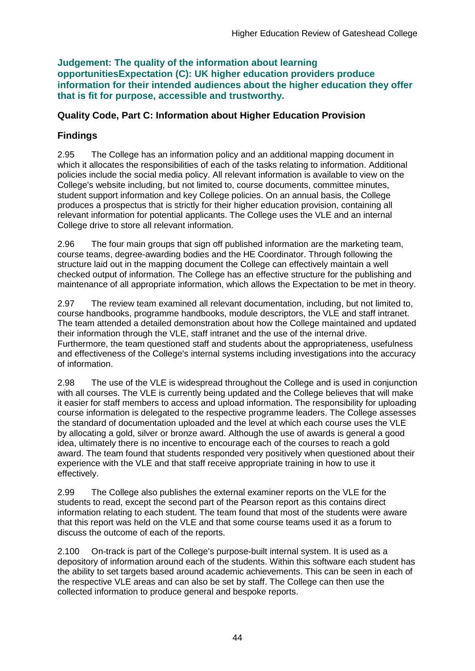**Judgement: The quality of the information about learning opportunitiesExpectation (C): UK higher education providers produce information for their intended audiences about the higher education they offer that is fit for purpose, accessible and trustworthy.**

## **Quality Code, Part C: Information about Higher Education Provision**

## **Findings**

2.95 The College has an information policy and an additional mapping document in which it allocates the responsibilities of each of the tasks relating to information. Additional policies include the social media policy. All relevant information is available to view on the College's website including, but not limited to, course documents, committee minutes, student support information and key College policies. On an annual basis, the College produces a prospectus that is strictly for their higher education provision, containing all relevant information for potential applicants. The College uses the VLE and an internal College drive to store all relevant information.

2.96 The four main groups that sign off published information are the marketing team, course teams, degree-awarding bodies and the HE Coordinator. Through following the structure laid out in the mapping document the College can effectively maintain a well checked output of information. The College has an effective structure for the publishing and maintenance of all appropriate information, which allows the Expectation to be met in theory.

2.97 The review team examined all relevant documentation, including, but not limited to, course handbooks, programme handbooks, module descriptors, the VLE and staff intranet. The team attended a detailed demonstration about how the College maintained and updated their information through the VLE, staff intranet and the use of the internal drive. Furthermore, the team questioned staff and students about the appropriateness, usefulness and effectiveness of the College's internal systems including investigations into the accuracy of information.

2.98 The use of the VLE is widespread throughout the College and is used in conjunction with all courses. The VLE is currently being updated and the College believes that will make it easier for staff members to access and upload information. The responsibility for uploading course information is delegated to the respective programme leaders. The College assesses the standard of documentation uploaded and the level at which each course uses the VLE by allocating a gold, silver or bronze award. Although the use of awards is general a good idea, ultimately there is no incentive to encourage each of the courses to reach a gold award. The team found that students responded very positively when questioned about their experience with the VLE and that staff receive appropriate training in how to use it effectively.

2.99 The College also publishes the external examiner reports on the VLE for the students to read, except the second part of the Pearson report as this contains direct information relating to each student. The team found that most of the students were aware that this report was held on the VLE and that some course teams used it as a forum to discuss the outcome of each of the reports.

2.100 On-track is part of the College's purpose-built internal system. It is used as a depository of information around each of the students. Within this software each student has the ability to set targets based around academic achievements. This can be seen in each of the respective VLE areas and can also be set by staff. The College can then use the collected information to produce general and bespoke reports.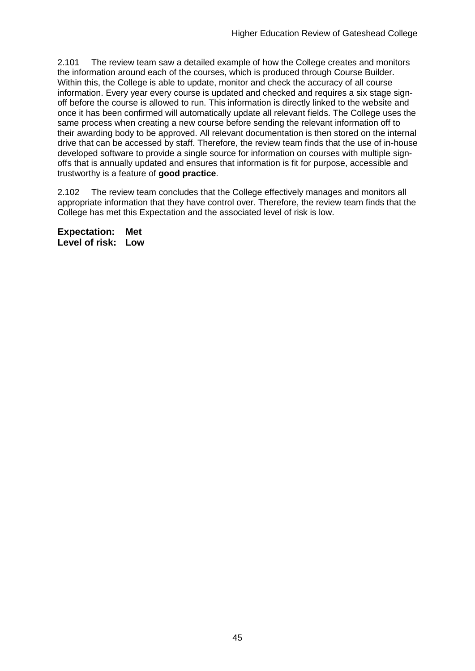2.101 The review team saw a detailed example of how the College creates and monitors the information around each of the courses, which is produced through Course Builder. Within this, the College is able to update, monitor and check the accuracy of all course information. Every year every course is updated and checked and requires a six stage signoff before the course is allowed to run. This information is directly linked to the website and once it has been confirmed will automatically update all relevant fields. The College uses the same process when creating a new course before sending the relevant information off to their awarding body to be approved. All relevant documentation is then stored on the internal drive that can be accessed by staff. Therefore, the review team finds that the use of in-house developed software to provide a single source for information on courses with multiple signoffs that is annually updated and ensures that information is fit for purpose, accessible and trustworthy is a feature of **good practice**.

2.102 The review team concludes that the College effectively manages and monitors all appropriate information that they have control over. Therefore, the review team finds that the College has met this Expectation and the associated level of risk is low.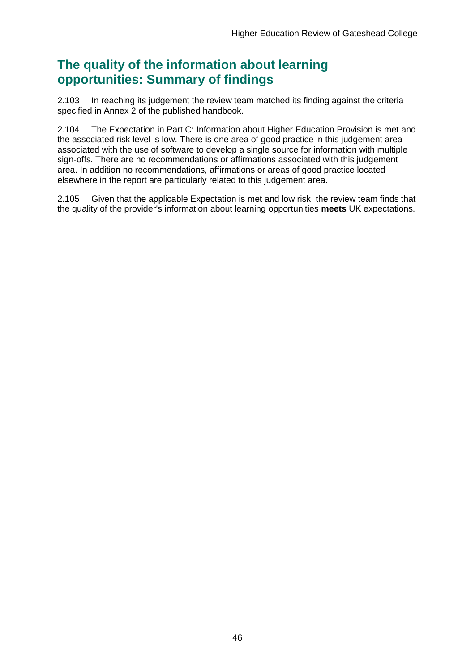## **The quality of the information about learning opportunities: Summary of findings**

2.103 In reaching its judgement the review team matched its finding against the criteria specified in Annex 2 of the published handbook.

2.104 The Expectation in Part C: Information about Higher Education Provision is met and the associated risk level is low. There is one area of good practice in this judgement area associated with the use of software to develop a single source for information with multiple sign-offs. There are no recommendations or affirmations associated with this judgement area. In addition no recommendations, affirmations or areas of good practice located elsewhere in the report are particularly related to this judgement area.

2.105 Given that the applicable Expectation is met and low risk, the review team finds that the quality of the provider's information about learning opportunities **meets** UK expectations.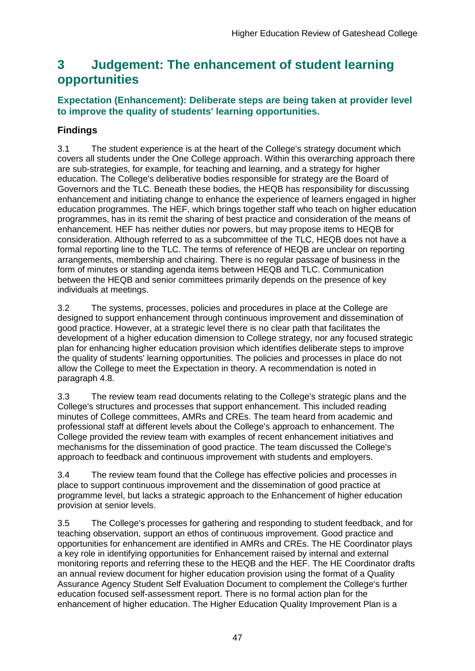## <span id="page-47-0"></span>**3 Judgement: The enhancement of student learning opportunities**

## **Expectation (Enhancement): Deliberate steps are being taken at provider level to improve the quality of students' learning opportunities.**

## **Findings**

3.1 The student experience is at the heart of the College's strategy document which covers all students under the One College approach. Within this overarching approach there are sub-strategies, for example, for teaching and learning, and a strategy for higher education. The College's deliberative bodies responsible for strategy are the Board of Governors and the TLC. Beneath these bodies, the HEQB has responsibility for discussing enhancement and initiating change to enhance the experience of learners engaged in higher education programmes. The HEF, which brings together staff who teach on higher education programmes, has in its remit the sharing of best practice and consideration of the means of enhancement. HEF has neither duties nor powers, but may propose items to HEQB for consideration. Although referred to as a subcommittee of the TLC, HEQB does not have a formal reporting line to the TLC. The terms of reference of HEQB are unclear on reporting arrangements, membership and chairing. There is no regular passage of business in the form of minutes or standing agenda items between HEQB and TLC. Communication between the HEQB and senior committees primarily depends on the presence of key individuals at meetings.

3.2 The systems, processes, policies and procedures in place at the College are designed to support enhancement through continuous improvement and dissemination of good practice. However, at a strategic level there is no clear path that facilitates the development of a higher education dimension to College strategy, nor any focused strategic plan for enhancing higher education provision which identifies deliberate steps to improve the quality of students' learning opportunities. The policies and processes in place do not allow the College to meet the Expectation in theory. A recommendation is noted in paragraph 4.8.

3.3 The review team read documents relating to the College's strategic plans and the College's structures and processes that support enhancement. This included reading minutes of College committees, AMRs and CREs. The team heard from academic and professional staff at different levels about the College's approach to enhancement. The College provided the review team with examples of recent enhancement initiatives and mechanisms for the dissemination of good practice. The team discussed the College's approach to feedback and continuous improvement with students and employers.

3.4 The review team found that the College has effective policies and processes in place to support continuous improvement and the dissemination of good practice at programme level, but lacks a strategic approach to the Enhancement of higher education provision at senior levels.

3.5 The College's processes for gathering and responding to student feedback, and for teaching observation, support an ethos of continuous improvement. Good practice and opportunities for enhancement are identified in AMRs and CREs. The HE Coordinator plays a key role in identifying opportunities for Enhancement raised by internal and external monitoring reports and referring these to the HEQB and the HEF. The HE Coordinator drafts an annual review document for higher education provision using the format of a Quality Assurance Agency Student Self Evaluation Document to complement the College's further education focused self-assessment report. There is no formal action plan for the enhancement of higher education. The Higher Education Quality Improvement Plan is a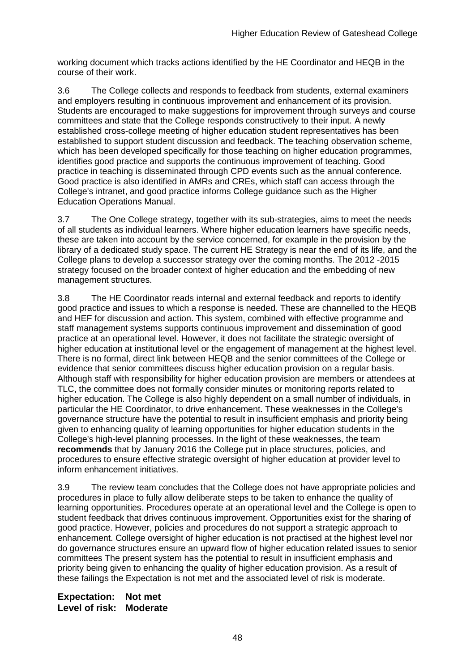working document which tracks actions identified by the HE Coordinator and HEQB in the course of their work.

3.6 The College collects and responds to feedback from students, external examiners and employers resulting in continuous improvement and enhancement of its provision. Students are encouraged to make suggestions for improvement through surveys and course committees and state that the College responds constructively to their input. A newly established cross-college meeting of higher education student representatives has been established to support student discussion and feedback. The teaching observation scheme, which has been developed specifically for those teaching on higher education programmes, identifies good practice and supports the continuous improvement of teaching. Good practice in teaching is disseminated through CPD events such as the annual conference. Good practice is also identified in AMRs and CREs, which staff can access through the College's intranet, and good practice informs College guidance such as the Higher Education Operations Manual.

3.7 The One College strategy, together with its sub-strategies, aims to meet the needs of all students as individual learners. Where higher education learners have specific needs, these are taken into account by the service concerned, for example in the provision by the library of a dedicated study space. The current HE Strategy is near the end of its life, and the College plans to develop a successor strategy over the coming months. The 2012 -2015 strategy focused on the broader context of higher education and the embedding of new management structures.

3.8 The HE Coordinator reads internal and external feedback and reports to identify good practice and issues to which a response is needed. These are channelled to the HEQB and HEF for discussion and action. This system, combined with effective programme and staff management systems supports continuous improvement and dissemination of good practice at an operational level. However, it does not facilitate the strategic oversight of higher education at institutional level or the engagement of management at the highest level. There is no formal, direct link between HEQB and the senior committees of the College or evidence that senior committees discuss higher education provision on a regular basis. Although staff with responsibility for higher education provision are members or attendees at TLC, the committee does not formally consider minutes or monitoring reports related to higher education. The College is also highly dependent on a small number of individuals, in particular the HE Coordinator, to drive enhancement. These weaknesses in the College's governance structure have the potential to result in insufficient emphasis and priority being given to enhancing quality of learning opportunities for higher education students in the College's high-level planning processes. In the light of these weaknesses, the team **recommends** that by January 2016 the College put in place structures, policies, and procedures to ensure effective strategic oversight of higher education at provider level to inform enhancement initiatives.

3.9 The review team concludes that the College does not have appropriate policies and procedures in place to fully allow deliberate steps to be taken to enhance the quality of learning opportunities. Procedures operate at an operational level and the College is open to student feedback that drives continuous improvement. Opportunities exist for the sharing of good practice. However, policies and procedures do not support a strategic approach to enhancement. College oversight of higher education is not practised at the highest level nor do governance structures ensure an upward flow of higher education related issues to senior committees The present system has the potential to result in insufficient emphasis and priority being given to enhancing the quality of higher education provision. As a result of these failings the Expectation is not met and the associated level of risk is moderate.

**Expectation: Not met Level of risk: Moderate**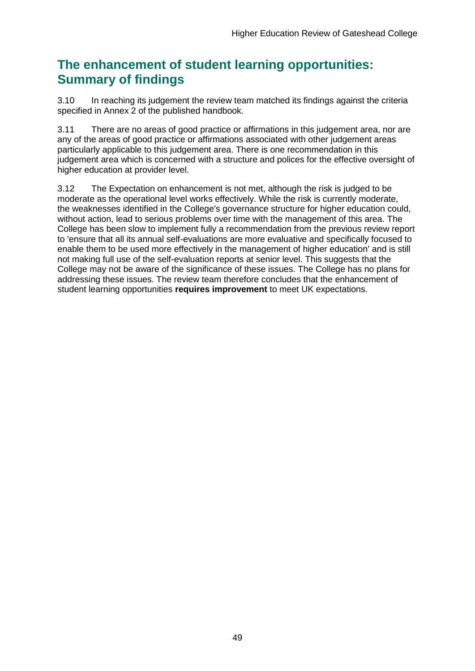## **The enhancement of student learning opportunities: Summary of findings**

3.10 In reaching its judgement the review team matched its findings against the criteria specified in Annex 2 of the published handbook.

3.11 There are no areas of good practice or affirmations in this judgement area, nor are any of the areas of good practice or affirmations associated with other judgement areas particularly applicable to this judgement area. There is one recommendation in this judgement area which is concerned with a structure and polices for the effective oversight of higher education at provider level.

3.12 The Expectation on enhancement is not met, although the risk is judged to be moderate as the operational level works effectively. While the risk is currently moderate, the weaknesses identified in the College's governance structure for higher education could, without action, lead to serious problems over time with the management of this area. The College has been slow to implement fully a recommendation from the previous review report to 'ensure that all its annual self-evaluations are more evaluative and specifically focused to enable them to be used more effectively in the management of higher education' and is still not making full use of the self-evaluation reports at senior level. This suggests that the College may not be aware of the significance of these issues. The College has no plans for addressing these issues. The review team therefore concludes that the enhancement of student learning opportunities **requires improvement** to meet UK expectations.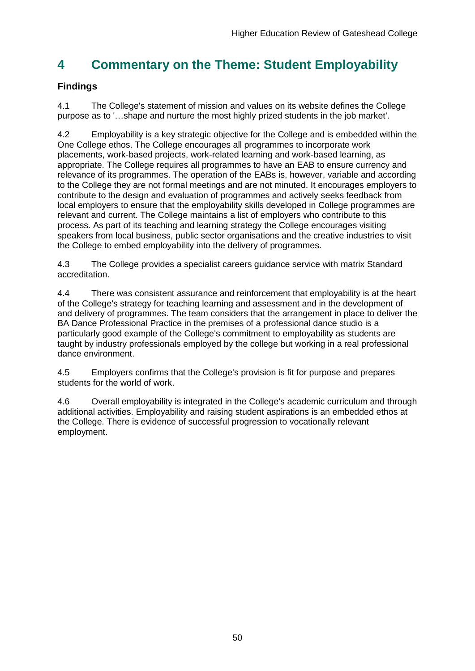## <span id="page-50-0"></span>**4 Commentary on the Theme: Student Employability**

## **Findings**

4.1 The College's statement of mission and values on its website defines the College purpose as to '…shape and nurture the most highly prized students in the job market'.

4.2 Employability is a key strategic objective for the College and is embedded within the One College ethos. The College encourages all programmes to incorporate work placements, work-based projects, work-related learning and work-based learning, as appropriate. The College requires all programmes to have an EAB to ensure currency and relevance of its programmes. The operation of the EABs is, however, variable and according to the College they are not formal meetings and are not minuted. It encourages employers to contribute to the design and evaluation of programmes and actively seeks feedback from local employers to ensure that the employability skills developed in College programmes are relevant and current. The College maintains a list of employers who contribute to this process. As part of its teaching and learning strategy the College encourages visiting speakers from local business, public sector organisations and the creative industries to visit the College to embed employability into the delivery of programmes.

4.3 The College provides a specialist careers guidance service with matrix Standard accreditation.

4.4 There was consistent assurance and reinforcement that employability is at the heart of the College's strategy for teaching learning and assessment and in the development of and delivery of programmes. The team considers that the arrangement in place to deliver the BA Dance Professional Practice in the premises of a professional dance studio is a particularly good example of the College's commitment to employability as students are taught by industry professionals employed by the college but working in a real professional dance environment.

4.5 Employers confirms that the College's provision is fit for purpose and prepares students for the world of work.

<span id="page-50-1"></span>4.6 Overall employability is integrated in the College's academic curriculum and through additional activities. Employability and raising student aspirations is an embedded ethos at the College. There is evidence of successful progression to vocationally relevant employment.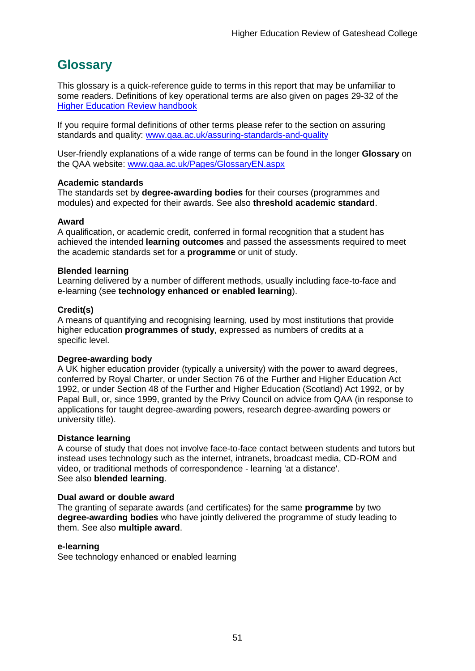## <span id="page-51-0"></span>**Glossary**

This glossary is a quick-reference guide to terms in this report that may be unfamiliar to some readers. Definitions of key operational terms are also given on pages 29-32 of the [Higher Education Review handbook](http://www.qaa.ac.uk/publications)

If you require formal definitions of other terms please refer to the section on assuring standards and quality: [www.qaa.ac.uk/assuring-standards-and-quality](http://www.qaa.ac.uk/assuring-standards-and-quality)

User-friendly explanations of a wide range of terms can be found in the longer **Glossary** on the QAA website: [www.qaa.ac.uk/Pages/GlossaryEN.aspx](http://www.qaa.ac.uk/Pages/GlossaryEN.aspx)

#### **Academic standards**

The standards set by **degree-awarding bodies** for their courses (programmes and modules) and expected for their awards. See also **threshold academic standard**.

#### **Award**

A qualification, or academic credit, conferred in formal recognition that a student has achieved the intended **learning outcomes** and passed the assessments required to meet the academic standards set for a **programme** or unit of study.

#### **Blended learning**

Learning delivered by a number of different methods, usually including face-to-face and e-learning (see **[technology enhanced or enabled learning](http://www.qaa.ac.uk/AboutUs/glossary/Pages/glossary-t.aspx#t1)**).

#### **Credit(s)**

A means of quantifying and recognising learning, used by most institutions that provide higher education **programmes of study**, expressed as numbers of credits at a specific level.

#### **Degree-awarding body**

A UK [higher education provider](http://newlive.qaa.ac.uk/AboutUs/glossary/Pages/glossary-h.aspx#h2.1) (typically a [university\)](http://newlive.qaa.ac.uk/AboutUs/glossary/Pages/glossary-u-z.aspx#u4) with the power to award degrees, conferred by Royal Charter, or under Section 76 of the Further and Higher Education Act 1992, or under Section 48 of the Further and Higher Education (Scotland) Act 1992, or by Papal Bull, or, since 1999, granted by the Privy Council on advice from QAA (in response to applications for taught degree-awarding [powers, research degree-awarding](http://newlive.qaa.ac.uk/AboutUs/DAP/Pages/default.aspx) powers or [university title\)](http://newlive.qaa.ac.uk/AboutUs/DAP/Pages/default.aspx).

#### **Distance learning**

A course of study that does not involve face-to-face contact between students and tutors but instead uses technology such as the internet, intranets, broadcast media, CD-ROM and video, or traditional methods of correspondence - learning 'at a distance'. See also **blended learning**.

#### **Dual award or double award**

The granting of separate awards (and certificates) for the same **programme** by two **degree-awarding bodies** who have jointly delivered the programme of study leading to them. See also **multiple award**.

#### **e-learning**

See technology enhanced or enabled learning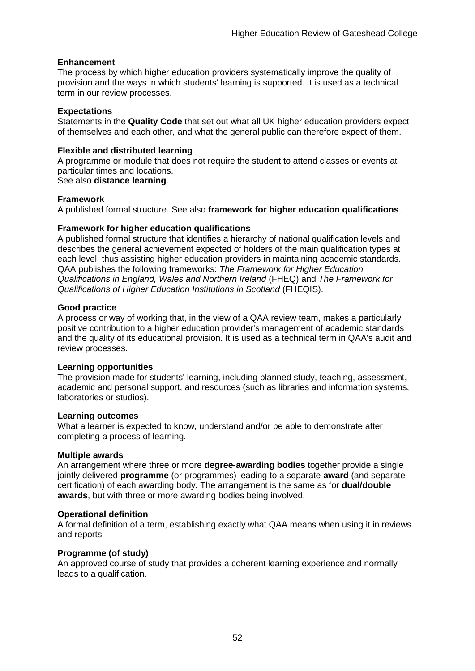#### **Enhancement**

The process by which [higher education providers](http://www.qaa.ac.uk/AboutUs/glossary/Pages/glossary-h.aspx#h2.1) systematically improve the quality of provision and the ways in which students' learning is supported. It is used as a technical term in our review processes.

#### **Expectations**

Statements in the **Quality Code** that set out what all UK [higher education providers](http://newlive.qaa.ac.uk/AboutUs/glossary/Pages/glossary-h.aspx#h2.1) expect of themselves and each other, and what the general public can therefore expect of them.

#### **Flexible and distributed learning**

A [programme](http://newlive.qaa.ac.uk/AboutUs/glossary/Pages/glossary-p.aspx#p12) or [module](http://newlive.qaa.ac.uk/AboutUs/glossary/Pages/glossary-m-o.aspx#m6) that does not require the student to attend classes or events at particular times and locations.

See also **distance learning**.

#### **Framework**

A published formal structure. See also **framework for higher education qualifications**.

#### **Framework for higher education qualifications**

A published formal structure that identifies a hierarchy of national qualification levels and describes the general achievement expected of holders of the main qualification types at each level, thus assisting higher education providers in maintaining academic standards. QAA publishes the following frameworks: *The Framework for Higher Education Qualifications in England, Wales and Northern Ireland* (FHEQ) and *The Framework for Qualifications of Higher Education Institutions in Scotland* (FHEQIS).

#### **Good practice**

A process or way of working that, in the view of a QAA review team, makes a particularly positive contribution to a higher education provider's management of academic standards and the quality of its educational provision. It is used as a technical term in QAA's audit and review processes.

#### **Learning opportunities**

The provision made for students' learning, including planned study, teaching, assessment, academic and personal support, and resources (such as libraries and information systems, laboratories or studios).

#### **Learning outcomes**

What a learner is expected to know, understand and/or be able to demonstrate after completing a process of learning.

#### **Multiple awards**

An arrangement where three or more **degree-awarding bodies** together provide a single jointly delivered **programme** (or programmes) leading to a separate **award** (and separate certification) of each awarding body. The arrangement is the same as for **dual/double awards**, but with three or more awarding bodies being involved.

#### **Operational definition**

A formal definition of a term, establishing exactly what QAA means when using it in reviews and reports.

#### **Programme (of study)**

An approved course of study that provides a coherent learning experience and normally leads to a qualification.